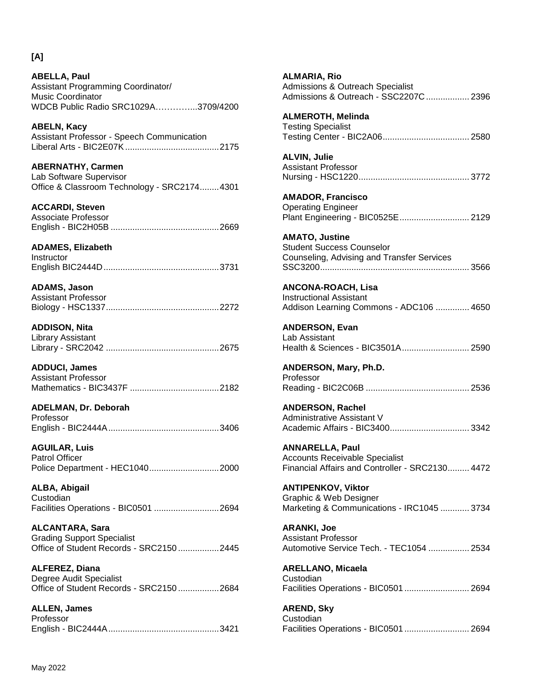**[A]**

**ABELLA, Paul** Assistant Programming Coordinator/ Music Coordinator WDCB Public Radio SRC1029A…………...3709/4200 **ABELN, Kacy**

Assistant Professor - Speech Communication Liberal Arts - BIC2E07K.......................................2175

**ABERNATHY, Carmen** Lab Software Supervisor Office & Classroom Technology - SRC2174........4301

**ACCARDI, Steven** Associate Professor English - BIC2H05B .............................................2669

**ADAMES, Elizabeth Instructor** English BIC2444D................................................3731

**ADAMS, Jason** Assistant Professor Biology - HSC1337...............................................2272

**ADDISON, Nita** Library Assistant Library - SRC2042 ...............................................2675

**ADDUCI, James** Assistant Professor Mathematics - BIC3437F .....................................2182

**ADELMAN, Dr. Deborah** Professor English - BIC2444A..............................................3406

**AGUILAR, Luis** Patrol Officer Police Department - HEC1040.............................2000

**ALBA, Abigail** Custodian Facilities Operations - BIC0501 ...........................2694

**ALCANTARA, Sara** Grading Support Specialist Office of Student Records - SRC2150 .................2445

**ALFEREZ, Diana** Degree Audit Specialist Office of Student Records - SRC2150 .................2684

**ALLEN, James** Professor English - BIC2444A..............................................3421 **ALMARIA, Rio** Admissions & Outreach Specialist Admissions & Outreach - SSC2207C.................. 2396 **ALMEROTH, Melinda** Testing Specialist Testing Center - BIC2A06.................................... 2580 **ALVIN, Julie** Assistant Professor Nursing - HSC1220.............................................. 3772 **AMADOR, Francisco** Operating Engineer Plant Engineering - BIC0525E............................. 2129 **AMATO, Justine** Student Success Counselor Counseling, Advising and Transfer Services SSC3200.............................................................. 3566 **ANCONA-ROACH, Lisa** Instructional Assistant Addison Learning Commons - ADC106 .............. 4650 **ANDERSON, Evan** Lab Assistant Health & Sciences - BIC3501A............................ 2590 **ANDERSON, Mary, Ph.D.** Professor Reading - BIC2C06B ........................................... 2536 **ANDERSON, Rachel** Administrative Assistant V Academic Affairs - BIC3400................................. 3342 **ANNARELLA, Paul** Accounts Receivable Specialist Financial Affairs and Controller - SRC2130......... 4472 **ANTIPENKOV, Viktor** Graphic & Web Designer Marketing & Communications - IRC1045 ............ 3734 **ARANKI, Joe** Assistant Professor Automotive Service Tech. - TEC1054 ................. 2534 **ARELLANO, Micaela** Custodian Facilities Operations - BIC0501 ........................... 2694 **AREND, Sky**

**Custodian** Facilities Operations - BIC0501 ........................... 2694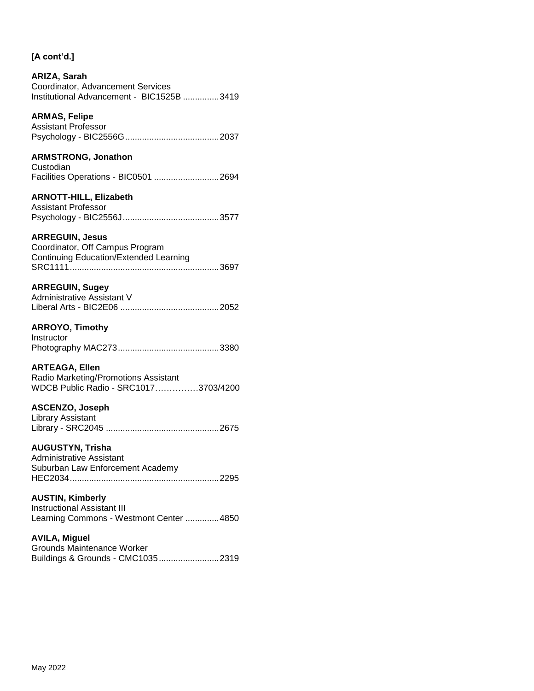#### **ARIZA, Sarah** Coordinator, Advancement Services Institutional Advancement - BIC1525B ...............3419

## **ARMAS, Felipe**

Assistant Professor Psychology - BIC2556G.......................................2037

## **ARMSTRONG, Jonathon**

| Custodian |  |                                      |
|-----------|--|--------------------------------------|
|           |  | Facilities Operations - BIC0501 2694 |

### **ARNOTT-HILL, Elizabeth**

| Assistant Professor |  |  |
|---------------------|--|--|
|                     |  |  |

### **ARREGUIN, Jesus**

| Coordinator, Off Campus Program               |  |
|-----------------------------------------------|--|
| <b>Continuing Education/Extended Learning</b> |  |
|                                               |  |

### **ARREGUIN, Sugey**

| Administrative Assistant V |  |
|----------------------------|--|
|                            |  |

### **ARROYO, Timothy**

| Instructor |  |
|------------|--|
|            |  |

#### **ARTEAGA, Ellen**

Radio Marketing/Promotions Assistant WDCB Public Radio - SRC1017……………3703/4200

### **ASCENZO, Joseph**

Library Assistant Library - SRC2045 ...............................................2675

## **AUGUSTYN, Trisha**

Administrative Assistant Suburban Law Enforcement Academy HEC2034..............................................................2295

#### **AUSTIN, Kimberly**

Instructional Assistant III Learning Commons - Westmont Center ..............4850

### **AVILA, Miguel**

Grounds Maintenance Worker Buildings & Grounds - CMC1035.........................2319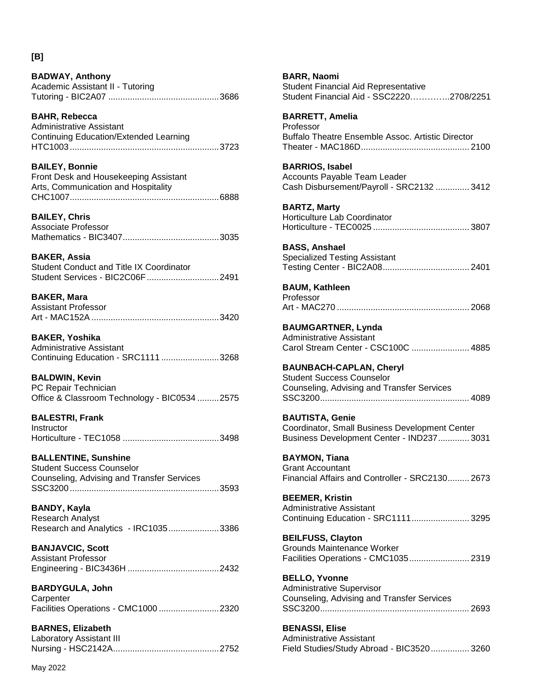### **[B]**

| <b>BADWAY, Anthony</b>           |  |
|----------------------------------|--|
| Academic Assistant II - Tutoring |  |
|                                  |  |

**BAHR, Rebecca** Administrative Assistant Continuing Education/Extended Learning HTC1003..............................................................3723

**BAILEY, Bonnie** Front Desk and Housekeeping Assistant Arts, Communication and Hospitality CHC1007..............................................................6888

**BAILEY, Chris** Associate Professor Mathematics - BIC3407........................................3035

**BAKER, Assia** Student Conduct and Title IX Coordinator Student Services - BIC2C06F..............................2491

**BAKER, Mara** Assistant Professor Art - MAC152A .....................................................3420

**BAKER, Yoshika** Administrative Assistant Continuing Education - SRC1111 ........................3268

**BALDWIN, Kevin** PC Repair Technician Office & Classroom Technology - BIC0534 .........2575

**BALESTRI, Frank Instructor** Horticulture - TEC1058 ........................................3498

**BALLENTINE, Sunshine** Student Success Counselor Counseling, Advising and Transfer Services SSC3200..............................................................3593

**BANDY, Kayla** Research Analyst Research and Analytics - IRC1035.....................3386

**BANJAVCIC, Scott** Assistant Professor Engineering - BIC3436H ......................................2432

**BARDYGULA, John Carpenter** Facilities Operations - CMC1000 .........................2320

**BARNES, Elizabeth** Laboratory Assistant III Nursing - HSC2142A............................................2752 **BARR, Naomi** Student Financial Aid Representative Student Financial Aid - SSC2220…………..2708/2251

**BARRETT, Amelia** Professor Buffalo Theatre Ensemble Assoc. Artistic Director Theater - MAC186D............................................. 2100

**BARRIOS, Isabel** Accounts Payable Team Leader Cash Disbursement/Payroll - SRC2132 .............. 3412

**BARTZ, Marty** Horticulture Lab Coordinator Horticulture - TEC0025 ........................................ 3807

**BASS, Anshael** Specialized Testing Assistant Testing Center - BIC2A08.................................... 2401

**BAUM, Kathleen** Professor Art - MAC270 ....................................................... 2068

**BAUMGARTNER, Lynda** Administrative Assistant Carol Stream Center - CSC100C ........................ 4885

**BAUNBACH-CAPLAN, Cheryl** Student Success Counselor Counseling, Advising and Transfer Services SSC3200.............................................................. 4089

**BAUTISTA, Genie** Coordinator, Small Business Development Center Business Development Center - IND237............. 3031

**BAYMON, Tiana** Grant Accountant Financial Affairs and Controller - SRC2130......... 2673

**BEEMER, Kristin** Administrative Assistant Continuing Education - SRC1111........................ 3295

**BEILFUSS, Clayton** Grounds Maintenance Worker Facilities Operations - CMC1035......................... 2319

**BELLO, Yvonne** Administrative Supervisor Counseling, Advising and Transfer Services SSC3200.............................................................. 2693

**BENASSI, Elise** Administrative Assistant Field Studies/Study Abroad - BIC3520................ 3260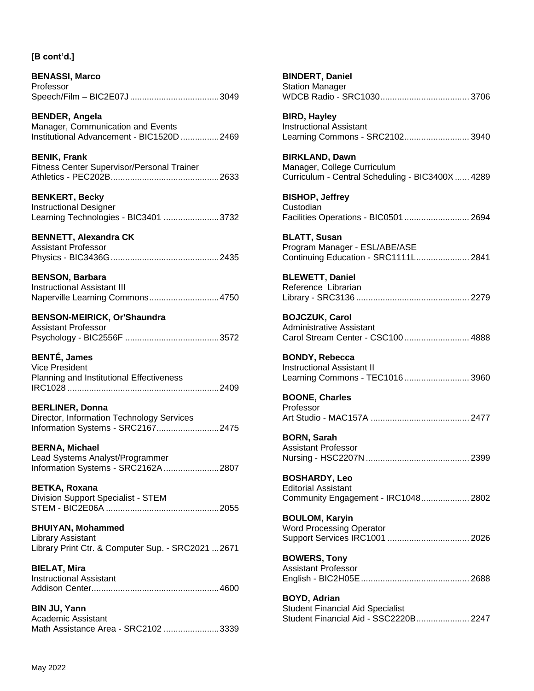**BENASSI, Marco** Professor Speech/Film – BIC2E07J .....................................3049

**BENDER, Angela** Manager, Communication and Events Institutional Advancement - BIC1520D ................2469

**BENIK, Frank** Fitness Center Supervisor/Personal Trainer Athletics - PEC202B.............................................2633

**BENKERT, Becky** Instructional Designer Learning Technologies - BIC3401 .......................3732

### **BENNETT, Alexandra CK**

| <b>Assistant Professor</b> |  |
|----------------------------|--|
|                            |  |

**BENSON, Barbara** Instructional Assistant III Naperville Learning Commons.............................4750

## **BENSON-MEIRICK, Or'Shaundra**

Assistant Professor Psychology - BIC2556F .......................................3572

**BENTÉ, James**

Vice President Planning and Institutional Effectiveness IRC1028 ...............................................................2409

#### **BERLINER, Donna**

Director, Information Technology Services Information Systems - SRC2167..........................2475

**BERNA, Michael** Lead Systems Analyst/Programmer Information Systems - SRC2162A.......................2807

**BETKA, Roxana** Division Support Specialist - STEM STEM - BIC2E06A ...............................................2055

**BHUIYAN, Mohammed** Library Assistant Library Print Ctr. & Computer Sup. - SRC2021 ...2671

**BIELAT, Mira** Instructional Assistant Addison Center.....................................................4600

**BIN JU, Yann** Academic Assistant Math Assistance Area - SRC2102 .......................3339 **BINDERT, Daniel** Station Manager WDCB Radio - SRC1030..................................... 3706

**BIRD, Hayley** Instructional Assistant Learning Commons - SRC2102........................... 3940

**BIRKLAND, Dawn** Manager, College Curriculum Curriculum - Central Scheduling - BIC3400X...... 4289

**BISHOP, Jeffrey** Custodian Facilities Operations - BIC0501 ........................... 2694

**BLATT, Susan** Program Manager - ESL/ABE/ASE Continuing Education - SRC1111L...................... 2841

**BLEWETT, Daniel** Reference Librarian Library - SRC3136 ............................................... 2279

**BOJCZUK, Carol** Administrative Assistant Carol Stream Center - CSC100 ........................... 4888

**BONDY, Rebecca** Instructional Assistant II Learning Commons - TEC1016 ........................... 3960

**BOONE, Charles** Professor Art Studio - MAC157A ......................................... 2477

**BORN, Sarah** Assistant Professor Nursing - HSC2207N ........................................... 2399

**BOSHARDY, Leo** Editorial Assistant Community Engagement - IRC1048.................... 2802

**BOULOM, Karyin** Word Processing Operator Support Services IRC1001 .................................. 2026

**BOWERS, Tony** Assistant Professor English - BIC2H05E............................................. 2688

**BOYD, Adrian** Student Financial Aid Specialist Student Financial Aid - SSC2220B...................... 2247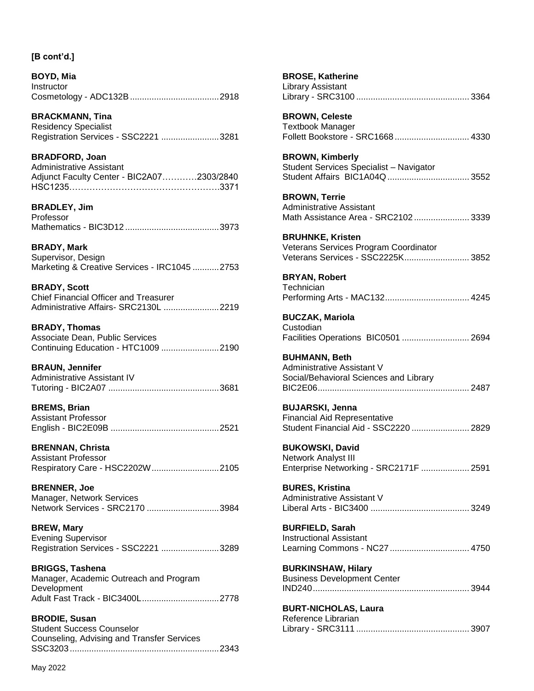**BOYD, Mia** Instructor Cosmetology - ADC132B.....................................2918

**BRACKMANN, Tina** Residency Specialist Registration Services - SSC2221 ........................3281

**BRADFORD, Joan** Administrative Assistant Adjunct Faculty Center - BIC2A07…………2303/2840 HSC1235…………………………………………….3371

**BRADLEY, Jim** Professor Mathematics - BIC3D12 .......................................3973

**BRADY, Mark** Supervisor, Design Marketing & Creative Services - IRC1045 ...........2753

**BRADY, Scott** Chief Financial Officer and Treasurer Administrative Affairs- SRC2130L .......................2219

**BRADY, Thomas** Associate Dean, Public Services Continuing Education - HTC1009 ........................2190

**BRAUN, Jennifer** Administrative Assistant IV Tutoring - BIC2A07 ..............................................3681

**BREMS, Brian** Assistant Professor English - BIC2E09B .............................................2521

**BRENNAN, Christa** Assistant Professor Respiratory Care - HSC2202W............................2105

**BRENNER, Joe** Manager, Network Services Network Services - SRC2170 ..............................3984

**BREW, Mary** Evening Supervisor Registration Services - SSC2221 ........................3289

**BRIGGS, Tashena** Manager, Academic Outreach and Program Development Adult Fast Track - BIC3400L................................2778

**BRODIE, Susan** Student Success Counselor Counseling, Advising and Transfer Services SSC3203..............................................................2343 **BROSE, Katherine** Library Assistant Library - SRC3100 ............................................... 3364 **BROWN, Celeste** Textbook Manager Follett Bookstore - SRC1668 ............................... 4330 **BROWN, Kimberly** Student Services Specialist – Navigator Student Affairs BIC1A04Q .................................. 3552 **BROWN, Terrie** Administrative Assistant Math Assistance Area - SRC2102....................... 3339 **BRUHNKE, Kristen** Veterans Services Program Coordinator Veterans Services - SSC2225K........................... 3852 **BRYAN, Robert Technician** Performing Arts - MAC132................................... 4245 **BUCZAK, Mariola** Custodian Facilities Operations BIC0501 ............................ 2694 **BUHMANN, Beth** Administrative Assistant V Social/Behavioral Sciences and Library BIC2E06............................................................... 2487 **BUJARSKI, Jenna** Financial Aid Representative Student Financial Aid - SSC2220 ........................ 2829 **BUKOWSKI, David** Network Analyst III Enterprise Networking - SRC2171F .................... 2591 **BURES, Kristina** Administrative Assistant V Liberal Arts - BIC3400 ......................................... 3249 **BURFIELD, Sarah** Instructional Assistant Learning Commons - NC27 ................................. 4750 **BURKINSHAW, Hilary** Business Development Center IND240................................................................. 3944 **BURT-NICHOLAS, Laura** Reference Librarian Library - SRC3111 ............................................... 3907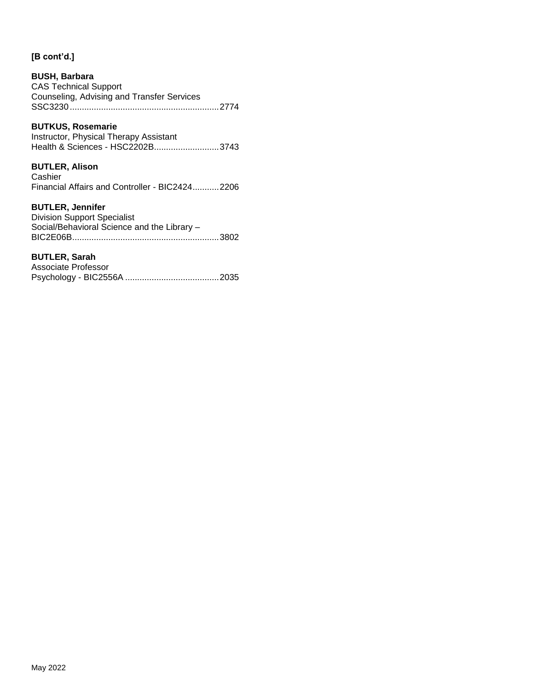## **BUSH, Barbara**

CAS Technical Support Counseling, Advising and Transfer Services SSC3230..............................................................2774

## **BUTKUS, Rosemarie**

Instructor, Physical Therapy Assistant Health & Sciences - HSC2202B..............................3743

### **BUTLER, Alison**

**Cashier** Financial Affairs and Controller - BIC2424...........2206

## **BUTLER, Jennifer**

| <b>Division Support Specialist</b>          |
|---------------------------------------------|
| Social/Behavioral Science and the Library - |
|                                             |

### **BUTLER, Sarah**

| Associate Professor |  |
|---------------------|--|
|                     |  |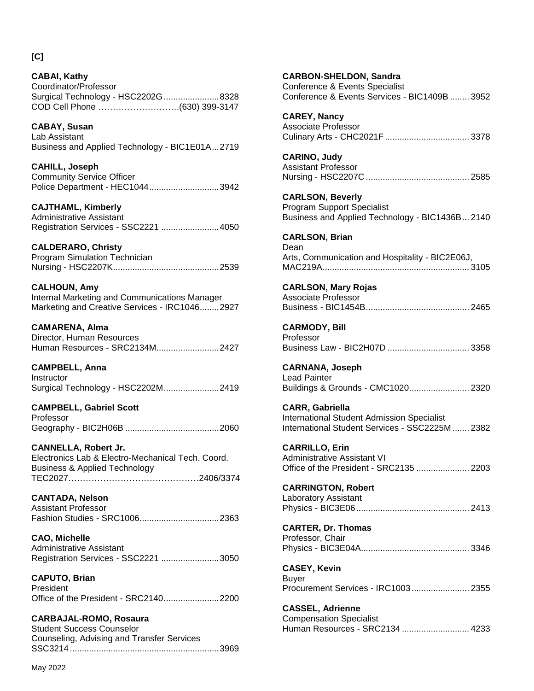**CABAI, Kathy** Coordinator/Professor Surgical Technology - HSC2202G.......................8328 COD Cell Phone ……………………….(630) 399-3147

**CABAY, Susan**

Lab Assistant Business and Applied Technology - BIC1E01A...2719

**CAHILL, Joseph** Community Service Officer Police Department - HEC1044.............................3942

**CAJTHAML, Kimberly** Administrative Assistant Registration Services - SSC2221 ........................4050

**CALDERARO, Christy** Program Simulation Technician Nursing - HSC2207K............................................2539

**CALHOUN, Amy** Internal Marketing and Communications Manager Marketing and Creative Services - IRC1046........2927

**CAMARENA, Alma** Director, Human Resources Human Resources - SRC2134M..........................2427

**CAMPBELL, Anna Instructor** Surgical Technology - HSC2202M.......................2419

**CAMPBELL, Gabriel Scott** Professor Geography - BIC2H06B .......................................2060

**CANNELLA, Robert Jr.** Electronics Lab & Electro-Mechanical Tech. Coord. Business & Applied Technology TEC2027………………………………………2406/3374

**CANTADA, Nelson** Assistant Professor Fashion Studies - SRC1006.................................2363

**CAO, Michelle** Administrative Assistant Registration Services - SSC2221 ........................3050

**CAPUTO, Brian** President Office of the President - SRC2140.......................2200

**CARBAJAL-ROMO, Rosaura** Student Success Counselor Counseling, Advising and Transfer Services SSC3214..............................................................3969 Conference & Events Specialist Conference & Events Services - BIC1409B ........ 3952 **CAREY, Nancy** Associate Professor Culinary Arts - CHC2021F ................................... 3378 **CARINO, Judy** Assistant Professor Nursing - HSC2207C ........................................... 2585 **CARLSON, Beverly** Program Support Specialist Business and Applied Technology - BIC1436B... 2140 **CARLSON, Brian** Dean Arts, Communication and Hospitality - BIC2E06J, MAC219A............................................................. 3105 **CARLSON, Mary Rojas** Associate Professor Business - BIC1454B........................................... 2465 **CARMODY, Bill** Professor Business Law - BIC2H07D .................................. 3358 **CARNANA, Joseph** Lead Painter Buildings & Grounds - CMC1020......................... 2320 **CARR, Gabriella** International Student Admission Specialist International Student Services - SSC2225M ....... 2382 **CARRILLO, Erin** Administrative Assistant VI Office of the President - SRC2135 ...................... 2203 **CARRINGTON, Robert** Laboratory Assistant Physics - BIC3E06............................................... 2413 **CARTER, Dr. Thomas** Professor, Chair Physics - BIC3E04A............................................. 3346 **CASEY, Kevin** Buyer Procurement Services - IRC1003........................ 2355 **CASSEL, Adrienne**

**CARBON-SHELDON, Sandra**

Compensation Specialist Human Resources - SRC2134 ............................ 4233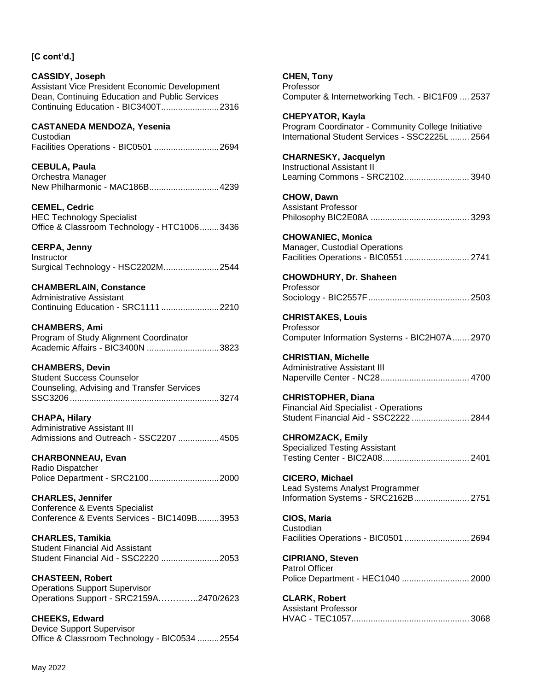# **CASSIDY, Joseph** Assistant Vice President Economic Development Dean, Continuing Education and Public Services Continuing Education - BIC3400T........................2316 **CASTANEDA MENDOZA, Yesenia** Custodian Facilities Operations - BIC0501 ...........................2694 **CEBULA, Paula** Orchestra Manager New Philharmonic - MAC186B.............................4239 **CEMEL, Cedric** HEC Technology Specialist Office & Classroom Technology - HTC1006........3436 **CERPA, Jenny Instructor** Surgical Technology - HSC2202M.......................2544 **CHAMBERLAIN, Constance** Administrative Assistant Continuing Education - SRC1111 ........................2210 **CHAMBERS, Ami** Program of Study Alignment Coordinator Academic Affairs - BIC3400N ..............................3823 **CHAMBERS, Devin** Student Success Counselor Counseling, Advising and Transfer Services SSC3206..............................................................3274 **CHAPA, Hilary** Administrative Assistant III Admissions and Outreach - SSC2207 .................4505 **CHARBONNEAU, Evan** Radio Dispatcher Police Department - SRC2100.............................2000 **CHARLES, Jennifer**

Conference & Events Specialist Conference & Events Services - BIC1409B.........3953

**CHARLES, Tamikia** Student Financial Aid Assistant Student Financial Aid - SSC2220 ........................2053

**CHASTEEN, Robert** Operations Support Supervisor Operations Support - SRC2159A…………..2470/2623

**CHEEKS, Edward** Device Support Supervisor Office & Classroom Technology - BIC0534 .........2554 **CHEN, Tony** Professor Computer & Internetworking Tech. - BIC1F09 .... 2537

**CHEPYATOR, Kayla** Program Coordinator - Community College Initiative International Student Services - SSC2225L ........ 2564

#### **CHARNESKY, Jacquelyn** Instructional Assistant II Learning Commons - SRC2102........................... 3940

**CHOW, Dawn** Assistant Professor Philosophy BIC2E08A ......................................... 3293

**CHOWANIEC, Monica** Manager, Custodial Operations Facilities Operations - BIC0551 ........................... 2741

# **CHOWDHURY, Dr. Shaheen**

Professor Sociology - BIC2557F.......................................... 2503

**CHRISTAKES, Louis** Professor Computer Information Systems - BIC2H07A....... 2970

**CHRISTIAN, Michelle** Administrative Assistant III Naperville Center - NC28..................................... 4700

**CHRISTOPHER, Diana** Financial Aid Specialist - Operations Student Financial Aid - SSC2222 ........................ 2844

**CHROMZACK, Emily** Specialized Testing Assistant Testing Center - BIC2A08.................................... 2401

**CICERO, Michael** Lead Systems Analyst Programmer Information Systems - SRC2162B....................... 2751

**CIOS, Maria** Custodian Facilities Operations - BIC0501 ........................... 2694

**CIPRIANO, Steven** Patrol Officer Police Department - HEC1040 ............................ 2000

**CLARK, Robert** Assistant Professor HVAC - TEC1057................................................. 3068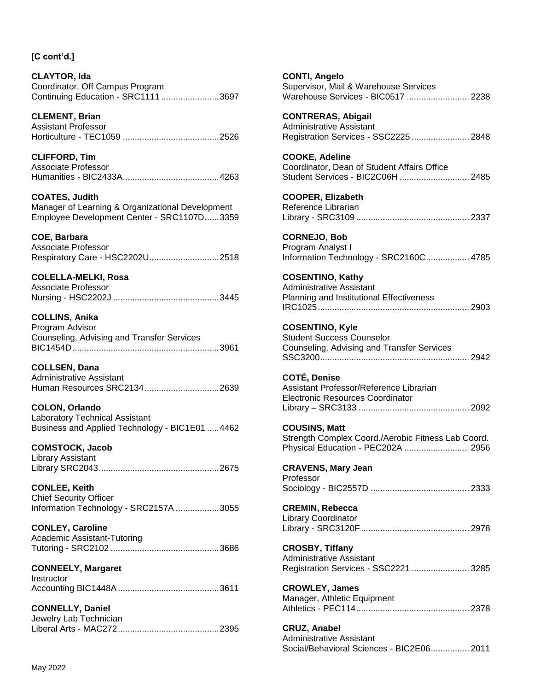May 2022

## **[C cont'd.]**

**CLAYTOR, Ida** Coordinator, Off Campus Program Continuing Education - SRC1111 ........................3697

**CLEMENT, Brian** Assistant Professor Horticulture - TEC1059 ........................................2526

**CLIFFORD, Tim** Associate Professor Humanities - BIC2433A........................................4263

**COATES, Judith** Manager of Learning & Organizational Development Employee Development Center - SRC1107D......3359

**COE, Barbara**

Associate Professor Respiratory Care - HSC2202U.............................2518

**COLELLA-MELKI, Rosa** Associate Professor Nursing - HSC2202J ............................................3445

**COLLINS, Anika** Program Advisor Counseling, Advising and Transfer Services BIC1454D.............................................................3961

**COLLSEN, Dana** Administrative Assistant Human Resources SRC2134...............................2639

**COLON, Orlando** Laboratory Technical Assistant Business and Applied Technology - BIC1E01 .....4462

**COMSTOCK, Jacob** Library Assistant Library SRC2043..................................................2675

**CONLEE, Keith** Chief Security Officer Information Technology - SRC2157A ..................3055

**CONLEY, Caroline** Academic Assistant-Tutoring Tutoring - SRC2102 .............................................3686

**CONNEELY, Margaret Instructor** Accounting BIC1448A..........................................3611

**CONNELLY, Daniel** Jewelry Lab Technician Liberal Arts - MAC272..........................................2395 **CONTI, Angelo** Supervisor, Mail & Warehouse Services Warehouse Services - BIC0517 .......................... 2238

**CONTRERAS, Abigail** Administrative Assistant Registration Services - SSC2225 ........................ 2848

**COOKE, Adeline** Coordinator, Dean of Student Affairs Office Student Services - BIC2C06H ............................. 2485

**COOPER, Elizabeth** Reference Librarian Library - SRC3109 ............................................... 2337

**CORNEJO, Bob** Program Analyst I Information Technology - SRC2160C.................. 4785

**COSENTINO, Kathy** Administrative Assistant Planning and Institutional Effectiveness IRC1025............................................................... 2903

**COSENTINO, Kyle** Student Success Counselor Counseling, Advising and Transfer Services SSC3200.............................................................. 2942

**COTÉ, Denise** Assistant Professor/Reference Librarian Electronic Resources Coordinator Library – SRC3133 .............................................. 2092

**COUSINS, Matt** Strength Complex Coord./Aerobic Fitness Lab Coord. Physical Education - PEC202A ........................... 2956

**CRAVENS, Mary Jean** Professor Sociology - BIC2557D ......................................... 2333

**CREMIN, Rebecca** Library Coordinator Library - SRC3120F............................................. 2978

**CROSBY, Tiffany** Administrative Assistant Registration Services - SSC2221 ........................ 3285

**CROWLEY, James** Manager, Athletic Equipment Athletics - PEC114............................................... 2378

**CRUZ, Anabel** Administrative Assistant Social/Behavioral Sciences - BIC2E06................ 2011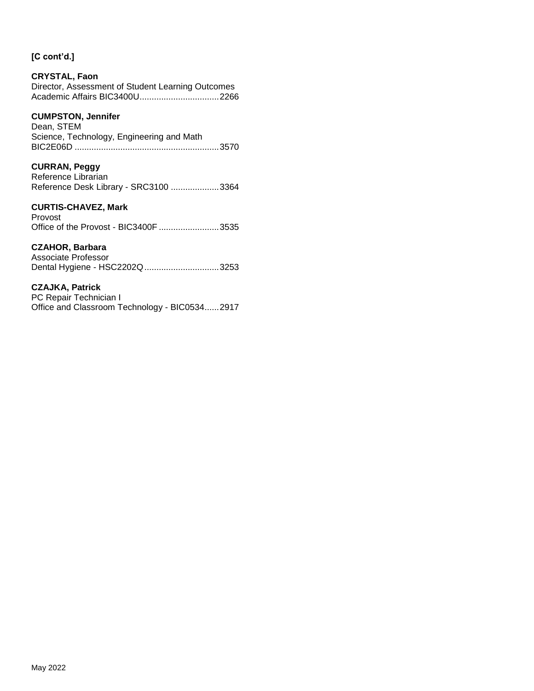## **CRYSTAL, Faon**

Director, Assessment of Student Learning Outcomes Academic Affairs BIC3400U.................................2266

### **CUMPSTON, Jennifer**

Dean, STEM Science, Technology, Engineering and Math BIC2E06D ............................................................3570

### **CURRAN, Peggy**

Reference Librarian Reference Desk Library - SRC3100 ....................3364

## **CURTIS-CHAVEZ, Mark**

Provost Office of the Provost - BIC3400F .........................3535

### **CZAHOR, Barbara**

Associate Professor Dental Hygiene - HSC2202Q...............................3253

### **CZAJKA, Patrick**

PC Repair Technician I Office and Classroom Technology - BIC0534......2917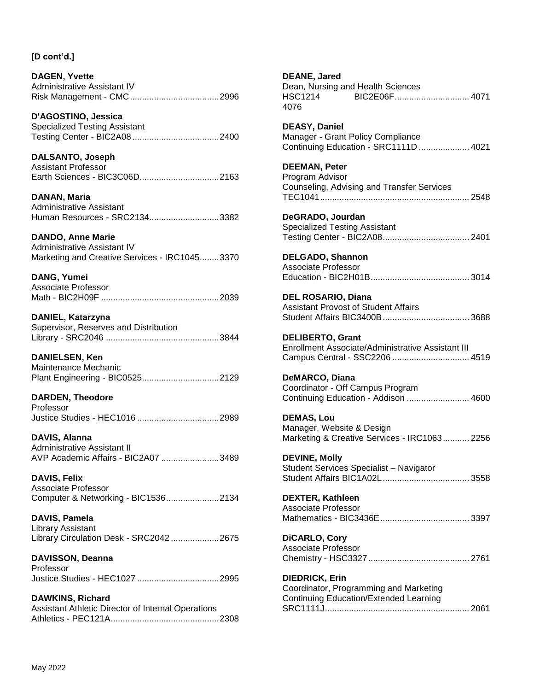**DAGEN, Yvette** Administrative Assistant IV Risk Management - CMC.....................................2996

**D'AGOSTINO, Jessica** Specialized Testing Assistant Testing Center - BIC2A08 ....................................2400

**DALSANTO, Joseph** Assistant Professor Earth Sciences - BIC3C06D.................................2163

**DANAN, Maria** Administrative Assistant Human Resources - SRC2134.............................3382

**DANDO, Anne Marie** Administrative Assistant IV Marketing and Creative Services - IRC1045........3370

**DANG, Yumei** Associate Professor Math - BIC2H09F .................................................2039

**DANIEL, Katarzyna** Supervisor, Reserves and Distribution Library - SRC2046 ...............................................3844

**DANIELSEN, Ken** Maintenance Mechanic Plant Engineering - BIC0525................................2129

**DARDEN, Theodore** Professor Justice Studies - HEC1016 ..................................2989

**DAVIS, Alanna** Administrative Assistant II AVP Academic Affairs - BIC2A07 ........................3489

**DAVIS, Felix** Associate Professor Computer & Networking - BIC1536......................2134

**DAVIS, Pamela** Library Assistant Library Circulation Desk - SRC2042 ....................2675

**DAVISSON, Deanna** Professor Justice Studies - HEC1027 ..................................2995

**DAWKINS, Richard** Assistant Athletic Director of Internal Operations Athletics - PEC121A.............................................2308 **DEANE, Jared** Dean, Nursing and Health Sciences HSC1214 BIC2E06F............................... 4071 4076

**DEASY, Daniel** Manager - Grant Policy Compliance Continuing Education - SRC1111D ..................... 4021

**DEEMAN, Peter** Program Advisor Counseling, Advising and Transfer Services TEC1041.............................................................. 2548

**DeGRADO, Jourdan** Specialized Testing Assistant Testing Center - BIC2A08.................................... 2401

**DELGADO, Shannon** Associate Professor Education - BIC2H01B......................................... 3014

**DEL ROSARIO, Diana** Assistant Provost of Student Affairs Student Affairs BIC3400B.................................... 3688

**DELIBERTO, Grant** Enrollment Associate/Administrative Assistant III Campus Central - SSC2206 ................................ 4519

**DeMARCO, Diana** Coordinator - Off Campus Program Continuing Education - Addison .......................... 4600

**DEMAS, Lou** Manager, Website & Design Marketing & Creative Services - IRC1063........... 2256

**DEVINE, Molly** Student Services Specialist – Navigator Student Affairs BIC1A02L.................................... 3558

**DEXTER, Kathleen** Associate Professor Mathematics - BIC3436E..................................... 3397

**DiCARLO, Cory** Associate Professor Chemistry - HSC3327.......................................... 2761

**DIEDRICK, Erin** Coordinator, Programming and Marketing Continuing Education/Extended Learning SRC1111J............................................................ 2061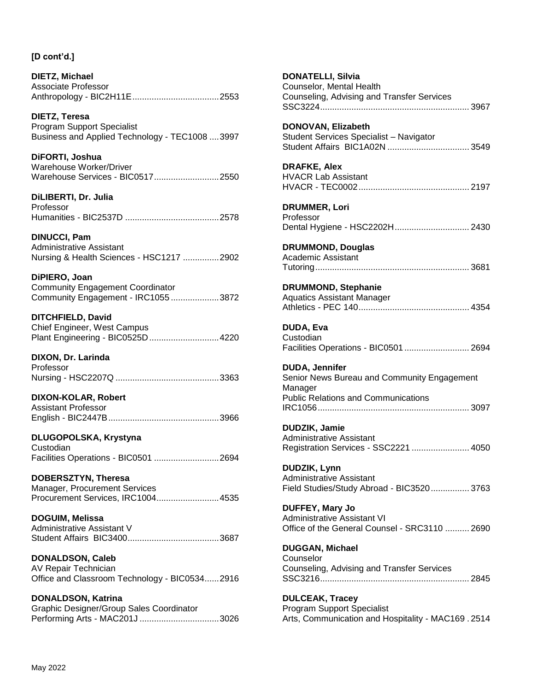**DIETZ, Michael** Associate Professor Anthropology - BIC2H11E....................................2553

**DIETZ, Teresa** Program Support Specialist Business and Applied Technology - TEC1008 ....3997

**DiFORTI, Joshua** Warehouse Worker/Driver Warehouse Services - BIC0517...........................2550

**DiLIBERTI, Dr. Julia** Professor Humanities - BIC2537D .......................................2578

**DINUCCI, Pam** Administrative Assistant Nursing & Health Sciences - HSC1217 ...............2902

**DiPIERO, Joan** Community Engagement Coordinator Community Engagement - IRC1055 ....................3872

**DITCHFIELD, David** Chief Engineer, West Campus Plant Engineering - BIC0525D.............................4220

**DIXON, Dr. Larinda** Professor Nursing - HSC2207Q ...........................................3363

**DIXON-KOLAR, Robert** Assistant Professor English - BIC2447B..............................................3966

**DLUGOPOLSKA, Krystyna Custodian** Facilities Operations - BIC0501 ...........................2694

**DOBERSZTYN, Theresa** Manager, Procurement Services Procurement Services, IRC1004..........................4535

**DOGUIM, Melissa** Administrative Assistant V Student Affairs BIC3400......................................3687

**DONALDSON, Caleb** AV Repair Technician Office and Classroom Technology - BIC0534......2916

**DONALDSON, Katrina** Graphic Designer/Group Sales Coordinator Performing Arts - MAC201J .................................3026 **DONATELLI, Silvia** Counselor, Mental Health Counseling, Advising and Transfer Services SSC3224.............................................................. 3967 **DONOVAN, Elizabeth** Student Services Specialist – Navigator Student Affairs BIC1A02N .................................. 3549 **DRAFKE, Alex** HVACR Lab Assistant HVACR - TEC0002.............................................. 2197 **DRUMMER, Lori** Professor Dental Hygiene - HSC2202H............................... 2430 **DRUMMOND, Douglas** Academic Assistant Tutoring................................................................ 3681 **DRUMMOND, Stephanie** Aquatics Assistant Manager Athletics - PEC 140.............................................. 4354 **DUDA, Eva Custodian** Facilities Operations - BIC0501 ........................... 2694 **DUDA, Jennifer** Senior News Bureau and Community Engagement Manager Public Relations and Communications IRC1056............................................................... 3097 **DUDZIK, Jamie** Administrative Assistant Registration Services - SSC2221 ........................ 4050 **DUDZIK, Lynn** Administrative Assistant Field Studies/Study Abroad - BIC3520................ 3763 **DUFFEY, Mary Jo** Administrative Assistant VI Office of the General Counsel - SRC3110 .......... 2690 **DUGGAN, Michael Counselor** Counseling, Advising and Transfer Services SSC3216.............................................................. 2845 **DULCEAK, Tracey**

Program Support Specialist Arts, Communication and Hospitality - MAC169 . 2514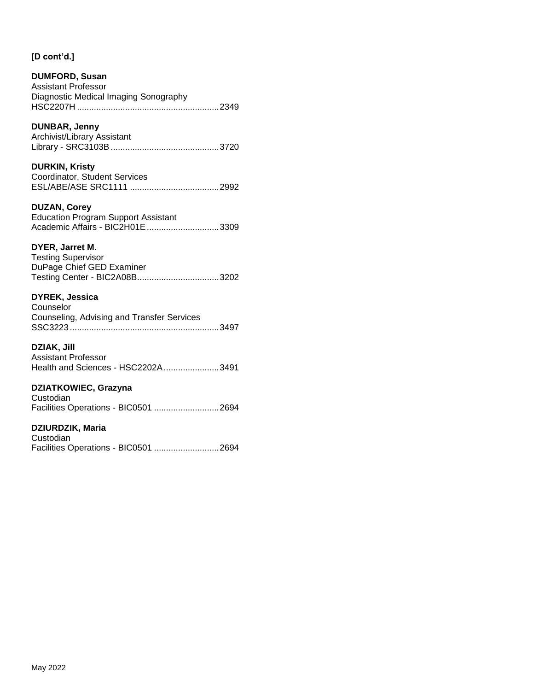#### **DUMFORD, Susan** Assistant Professor Diagnostic Medical Imaging Sonography HSC2207H ...........................................................2349

## **DUNBAR, Jenny**

Archivist/Library Assistant Library - SRC3103B.............................................3720

#### **DURKIN, Kristy** Coordinator, Student Services ESL/ABE/ASE SRC1111 .....................................2992

**DUZAN, Corey** Education Program Support Assistant Academic Affairs - BIC2H01E..............................3309

## **DYER, Jarret M.**

Testing Supervisor DuPage Chief GED Examiner Testing Center - BIC2A08B..................................3202

## **DYREK, Jessica**

Counselor Counseling, Advising and Transfer Services SSC3223..............................................................3497

### **DZIAK, Jill**

Assistant Professor Health and Sciences - HSC2202A.......................3491

## **DZIATKOWIEC, Grazyna**

Custodian Facilities Operations - BIC0501 ...........................2694

## **DZIURDZIK, Maria**

**Custodian** Facilities Operations - BIC0501 ...........................2694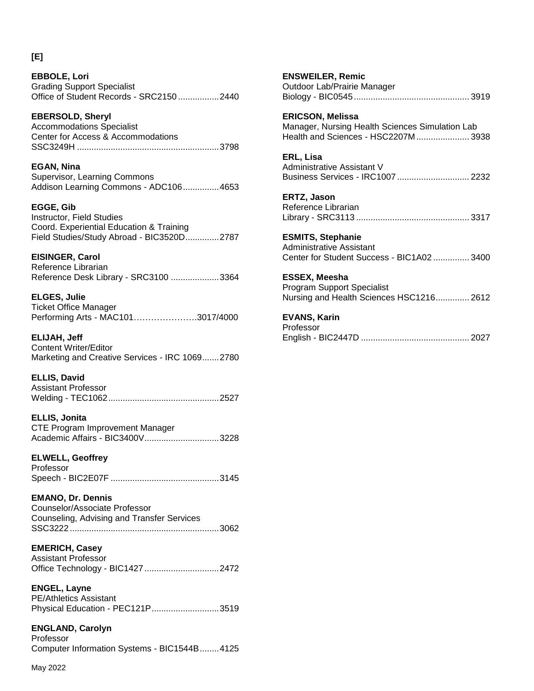**EBBOLE, Lori** Grading Support Specialist Office of Student Records - SRC2150 .................2440

**EBERSOLD, Sheryl** Accommodations Specialist Center for Access & Accommodations SSC3249H ...........................................................3798

**EGAN, Nina** Supervisor, Learning Commons Addison Learning Commons - ADC106...............4653

**EGGE, Gib** Instructor, Field Studies Coord. Experiential Education & Training Field Studies/Study Abroad - BIC3520D..............2787

**EISINGER, Carol** Reference Librarian Reference Desk Library - SRC3100 ....................3364

**ELGES, Julie** Ticket Office Manager Performing Arts - MAC101………………….3017/4000

**ELIJAH, Jeff** Content Writer/Editor Marketing and Creative Services - IRC 1069.......2780

**ELLIS, David** Assistant Professor Welding - TEC1062..............................................2527

**ELLIS, Jonita** CTE Program Improvement Manager Academic Affairs - BIC3400V...............................3228

**ELWELL, Geoffrey** Professor Speech - BIC2E07F .............................................3145

**EMANO, Dr. Dennis** Counselor/Associate Professor Counseling, Advising and Transfer Services SSC3222..............................................................3062

**EMERICH, Casey** Assistant Professor Office Technology - BIC1427...............................2472

**ENGEL, Layne** PE/Athletics Assistant Physical Education - PEC121P............................3519

**ENGLAND, Carolyn** Professor Computer Information Systems - BIC1544B........4125 **ENSWEILER, Remic** Outdoor Lab/Prairie Manager Biology - BIC0545................................................ 3919 **ERICSON, Melissa** Manager, Nursing Health Sciences Simulation Lab Health and Sciences - HSC2207M...................... 3938 **ERL, Lisa** Administrative Assistant V Business Services - IRC1007 .............................. 2232 **ERTZ, Jason** Reference Librarian Library - SRC3113 ............................................... 3317 **ESMITS, Stephanie** Administrative Assistant Center for Student Success - BIC1A02 ............... 3400 **ESSEX, Meesha** Program Support Specialist Nursing and Health Sciences HSC1216.............. 2612 **EVANS, Karin** Professor English - BIC2447D ............................................. 2027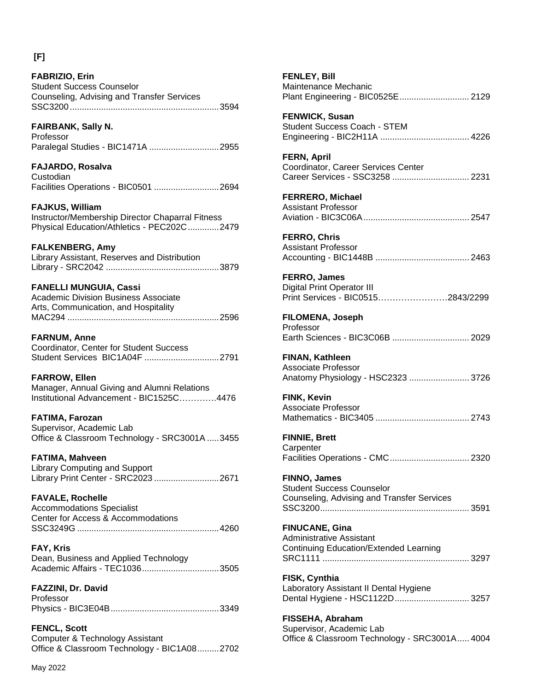**FABRIZIO, Erin**

**FAIRBANK, Sally N.**

Student Success Counselor

Counseling, Advising and Transfer Services

SSC3200..............................................................3594

| Professor<br>Paralegal Studies - BIC1471A 2955                                                                            |
|---------------------------------------------------------------------------------------------------------------------------|
| FAJARDO, Rosalva<br>Custodian<br>Facilities Operations - BIC0501 2694                                                     |
| <b>FAJKUS, William</b><br>Instructor/Membership Director Chaparral Fitness<br>Physical Education/Athletics - PEC202C 2479 |
| <b>FALKENBERG, Amy</b><br>Library Assistant, Reserves and Distribution                                                    |
| <b>FANELLI MUNGUIA, Cassi</b><br><b>Academic Division Business Associate</b><br>Arts, Communication, and Hospitality      |
| <b>FARNUM, Anne</b><br>Coordinator, Center for Student Success<br>Student Services BIC1A04F 2791                          |
| <b>FARROW, Ellen</b><br>Manager, Annual Giving and Alumni Relations<br>Institutional Advancement - BIC1525C4476           |
| <b>FATIMA, Farozan</b><br>Supervisor, Academic Lab<br>Office & Classroom Technology - SRC3001A 3455                       |
| <b>FATIMA, Mahveen</b><br><b>Library Computing and Support</b><br>Library Print Center - SRC2023 2671                     |
| <b>FAVALE, Rochelle</b><br><b>Accommodations Specialist</b><br>Center for Access & Accommodations                         |
| FAY, Kris<br>Dean, Business and Applied Technology<br>Academic Affairs - TEC10363505                                      |
| FAZZINI, Dr. David<br>Professor                                                                                           |
| <b>FENCL, Scott</b><br>Computer & Technology Assistant<br>Office & Classroom Technology - BIC1A082702                     |
| May 2022                                                                                                                  |
|                                                                                                                           |

| <b>FENLEY, Bill</b><br>Maintenance Mechanic<br>Plant Engineering - BIC0525E 2129                      |
|-------------------------------------------------------------------------------------------------------|
| <b>FENWICK, Susan</b><br>Student Success Coach - STEM                                                 |
| <b>FERN, April</b><br>Coordinator, Career Services Center<br>Career Services - SSC3258  2231          |
| <b>FERRERO, Michael</b><br><b>Assistant Professor</b>                                                 |
| <b>FERRO, Chris</b><br><b>Assistant Professor</b>                                                     |
| FERRO, James<br><b>Digital Print Operator III</b><br>Print Services - BIC05152843/2299                |
| FILOMENA, Joseph<br>Professor<br>Earth Sciences - BIC3C06B  2029                                      |
| FINAN, Kathleen<br><b>Associate Professor</b><br>Anatomy Physiology - HSC2323  3726                   |
| FINK, Kevin<br><b>Associate Professor</b>                                                             |
| <b>FINNIE, Brett</b><br>Carpenter                                                                     |
| <b>FINNO, James</b><br><b>Student Success Counselor</b><br>Counseling, Advising and Transfer Services |
| <b>FINUCANE, Gina</b><br>Administrative Assistant<br><b>Continuing Education/Extended Learning</b>    |
| FISK, Cynthia<br>Laboratory Assistant II Dental Hygiene<br>Dental Hygiene - HSC1122D 3257             |
| FISSEHA, Abraham<br>Supervisor, Academic Lab<br>Office & Classroom Technology - SRC3001A 4004         |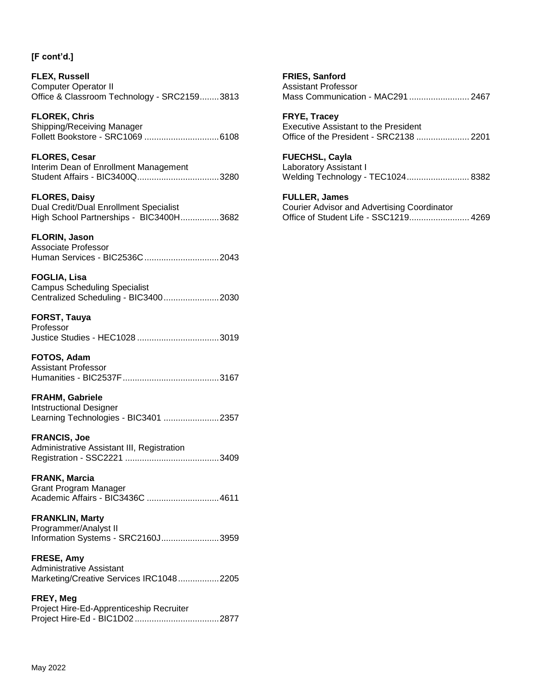**FLEX, Russell** Computer Operator II Office & Classroom Technology - SRC2159........3813

**FLOREK, Chris**

Shipping/Receiving Manager Follett Bookstore - SRC1069 ...............................6108

**FLORES, Cesar**

Interim Dean of Enrollment Management Student Affairs - BIC3400Q..................................3280

**FLORES, Daisy** Dual Credit/Dual Enrollment Specialist High School Partnerships - BIC3400H................3682

## **FLORIN, Jason**

Associate Professor Human Services - BIC2536C...............................2043

**FOGLIA, Lisa** Campus Scheduling Specialist Centralized Scheduling - BIC3400.......................2030

**FORST, Tauya** Professor Justice Studies - HEC1028 ..................................3019

**FOTOS, Adam** Assistant Professor Humanities - BIC2537F........................................3167

**FRAHM, Gabriele** Intstructional Designer Learning Technologies - BIC3401 .......................2357

**FRANCIS, Joe** Administrative Assistant III, Registration Registration - SSC2221 .......................................3409

**FRANK, Marcia** Grant Program Manager Academic Affairs - BIC3436C ..............................4611

**FRANKLIN, Marty** Programmer/Analyst II Information Systems - SRC2160J........................3959

**FRESE, Amy** Administrative Assistant Marketing/Creative Services IRC1048.................2205

**FREY, Meg** Project Hire-Ed-Apprenticeship Recruiter Project Hire-Ed - BIC1D02 ...................................2877 **FRIES, Sanford** Assistant Professor Mass Communication - MAC291 ......................... 2467

**FRYE, Tracey** Executive Assistant to the President Office of the President - SRC2138 ...................... 2201

**FUECHSL, Cayla** Laboratory Assistant I Welding Technology - TEC1024.......................... 8382

**FULLER, James** Courier Advisor and Advertising Coordinator Office of Student Life - SSC1219......................... 4269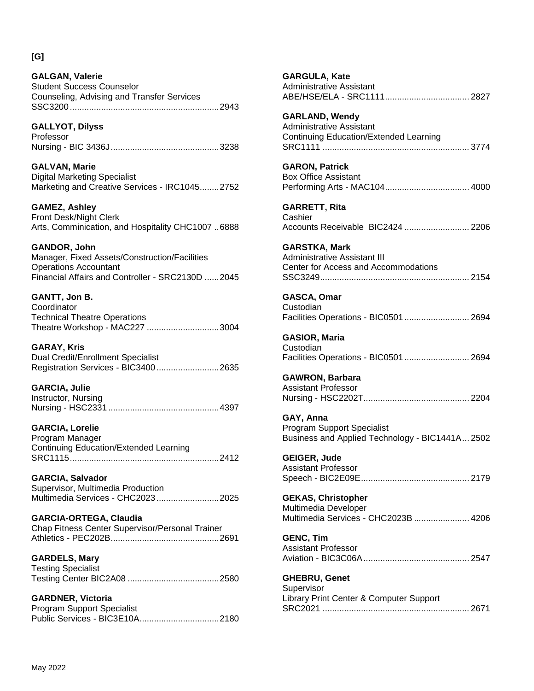**[G]**

| <b>GALGAN, Valerie</b>                     |  |
|--------------------------------------------|--|
| <b>Student Success Counselor</b>           |  |
| Counseling, Advising and Transfer Services |  |
|                                            |  |

**GALLYOT, Dilyss** Professor Nursing - BIC 3436J.............................................3238

**GALVAN, Marie** Digital Marketing Specialist Marketing and Creative Services - IRC1045........2752

**GAMEZ, Ashley** Front Desk/Night Clerk Arts, Comminication, and Hospitality CHC1007 ..6888

**GANDOR, John** Manager, Fixed Assets/Construction/Facilities Operations Accountant Financial Affairs and Controller - SRC2130D ......2045

**GANTT, Jon B. Coordinator** Technical Theatre Operations Theatre Workshop - MAC227 ..............................3004

**GARAY, Kris** Dual Credit/Enrollment Specialist Registration Services - BIC3400..........................2635

**GARCIA, Julie** Instructor, Nursing Nursing - HSC2331 ..............................................4397

**GARCIA, Lorelie** Program Manager Continuing Education/Extended Learning SRC1115..............................................................2412

**GARCIA, Salvador** Supervisor, Multimedia Production Multimedia Services - CHC2023..........................2025

**GARCIA-ORTEGA, Claudia** Chap Fitness Center Supervisor/Personal Trainer Athletics - PEC202B.............................................2691

**GARDELS, Mary** Testing Specialist Testing Center BIC2A08 ......................................2580

**GARDNER, Victoria** Program Support Specialist Public Services - BIC3E10A.................................2180

| <b>GARGULA, Kate</b><br><b>Administrative Assistant</b>                                            |
|----------------------------------------------------------------------------------------------------|
| <b>GARLAND, Wendy</b><br><b>Administrative Assistant</b><br>Continuing Education/Extended Learning |
| <b>GARON, Patrick</b><br><b>Box Office Assistant</b>                                               |
| <b>GARRETT, Rita</b><br>Cashier<br>Accounts Receivable BIC2424  2206                               |
| <b>GARSTKA, Mark</b><br>Administrative Assistant III<br>Center for Access and Accommodations       |
| GASCA, Omar<br>Custodian<br>Facilities Operations - BIC0501  2694                                  |
| <b>GASIOR, Maria</b><br>Custodian<br>Facilities Operations - BIC0501  2694                         |
| <b>GAWRON, Barbara</b><br><b>Assistant Professor</b>                                               |
| GAY, Anna<br><b>Program Support Specialist</b><br>Business and Applied Technology - BIC1441A 2502  |
| GEIGER, Jude<br><b>Assistant Professor</b>                                                         |
| <b>GEKAS, Christopher</b><br>Multimedia Developer<br>Multimedia Services - CHC2023B  4206          |
| <b>GENC, Tim</b><br><b>Assistant Professor</b>                                                     |
| <b>GHEBRU, Genet</b><br>Supervisor<br>Library Print Center & Computer Support                      |

SRC2021 ............................................................. 2671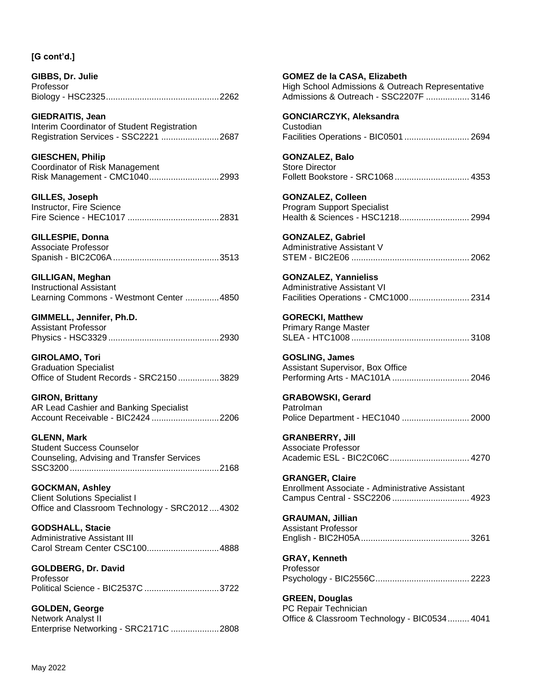| GIBBS, Dr. Julie |  |
|------------------|--|
| Professor        |  |
|                  |  |

**GIEDRAITIS, Jean** Interim Coordinator of Student Registration Registration Services - SSC2221 ........................2687

**GIESCHEN, Philip** Coordinator of Risk Management Risk Management - CMC1040.............................2993

**GILLES, Joseph** Instructor, Fire Science Fire Science - HEC1017 ......................................2831

**GILLESPIE, Donna** Associate Professor

Spanish - BIC2C06A............................................3513

**GILLIGAN, Meghan** Instructional Assistant Learning Commons - Westmont Center ..............4850

**GIMMELL, Jennifer, Ph.D.**

Assistant Professor Physics - HSC3329 ..............................................2930

**GIROLAMO, Tori** Graduation Specialist Office of Student Records - SRC2150 .................3829

**GIRON, Brittany** AR Lead Cashier and Banking Specialist Account Receivable - BIC2424 ............................2206

**GLENN, Mark** Student Success Counselor Counseling, Advising and Transfer Services SSC3200..............................................................2168

**GOCKMAN, Ashley** Client Solutions Specialist I Office and Classroom Technology - SRC2012....4302

**GODSHALL, Stacie** Administrative Assistant III Carol Stream Center CSC100..............................4888

**GOLDBERG, Dr. David** Professor Political Science - BIC2537C ...............................3722

**GOLDEN, George** Network Analyst II Enterprise Networking - SRC2171C ....................2808 **GOMEZ de la CASA, Elizabeth** High School Admissions & Outreach Representative Admissions & Outreach - SSC2207F .................. 3146

**GONCIARCZYK, Aleksandra** Custodian Facilities Operations - BIC0501 ........................... 2694

**GONZALEZ, Balo** Store Director Follett Bookstore - SRC1068 ............................... 4353

**GONZALEZ, Colleen** Program Support Specialist Health & Sciences - HSC1218............................. 2994

**GONZALEZ, Gabriel** Administrative Assistant V STEM - BIC2E06 ................................................. 2062

**GONZALEZ, Yannieliss** Administrative Assistant VI Facilities Operations - CMC1000......................... 2314

**GORECKI, Matthew** Primary Range Master SLEA - HTC1008 ................................................. 3108

**GOSLING, James** Assistant Supervisor, Box Office Performing Arts - MAC101A ................................ 2046

**GRABOWSKI, Gerard** Patrolman Police Department - HEC1040 ............................ 2000

**GRANBERRY, Jill** Associate Professor Academic ESL - BIC2C06C................................. 4270

**GRANGER, Claire** Enrollment Associate - Administrative Assistant Campus Central - SSC2206 ................................ 4923

**GRAUMAN, Jillian** Assistant Professor English - BIC2H05A............................................. 3261

**GRAY, Kenneth** Professor Psychology - BIC2556C....................................... 2223

**GREEN, Douglas** PC Repair Technician Office & Classroom Technology - BIC0534......... 4041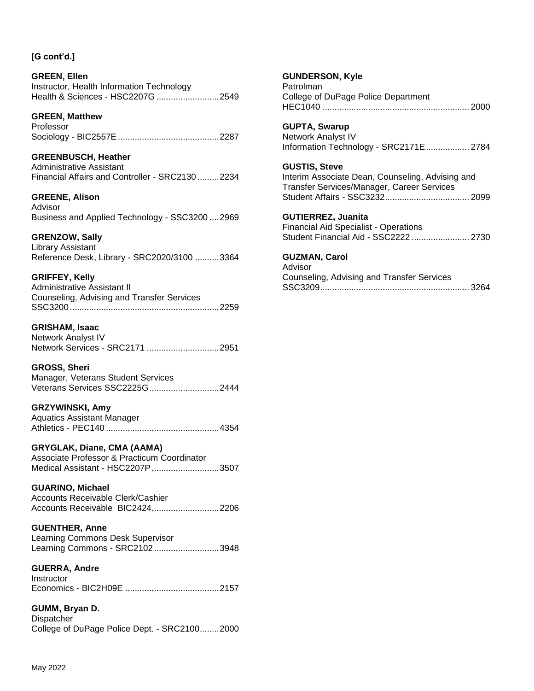**GREEN, Ellen** Instructor, Health Information Technology Health & Sciences - HSC2207G ..........................2549

**GREEN, Matthew** Professor Sociology - BIC2557E..........................................2287

**GREENBUSCH, Heather** Administrative Assistant Financial Affairs and Controller - SRC2130 .........2234

**GREENE, Alison** Advisor Business and Applied Technology - SSC3200 ....2969

### **GRENZOW, Sally**

Library Assistant Reference Desk, Library - SRC2020/3100 ..........3364

**GRIFFEY, Kelly**

Administrative Assistant II Counseling, Advising and Transfer Services SSC3200..............................................................2259

### **GRISHAM, Isaac**

Network Analyst IV Network Services - SRC2171 ..............................2951

**GROSS, Sheri** Manager, Veterans Student Services Veterans Services SSC2225G.............................2444

## **GRZYWINSKI, Amy**

Aquatics Assistant Manager Athletics - PEC140 ...............................................4354

### **GRYGLAK, Diane, CMA (AAMA)**

Associate Professor & Practicum Coordinator Medical Assistant - HSC2207P............................3507

#### **GUARINO, Michael**

Accounts Receivable Clerk/Cashier Accounts Receivable BIC2424............................2206

#### **GUENTHER, Anne**

| Learning Commons Desk Supervisor |  |
|----------------------------------|--|
| Learning Commons - SRC21023948   |  |

**GUERRA, Andre**

**Instructor** Economics - BIC2H09E .......................................2157

## **GUMM, Bryan D.**

Dispatcher College of DuPage Police Dept. - SRC2100........2000

#### **GUNDERSON, Kyle**

Patrolman College of DuPage Police Department HEC1040 ............................................................. 2000

### **GUPTA, Swarup**

Network Analyst IV Information Technology - SRC2171E.................. 2784

#### **GUSTIS, Steve**

Interim Associate Dean, Counseling, Advising and Transfer Services/Manager, Career Services Student Affairs - SSC3232................................... 2099

#### **GUTIERREZ, Juanita**

Financial Aid Specialist - Operations Student Financial Aid - SSC2222 ........................ 2730

#### **GUZMAN, Carol**

Advisor Counseling, Advising and Transfer Services SSC3209.............................................................. 3264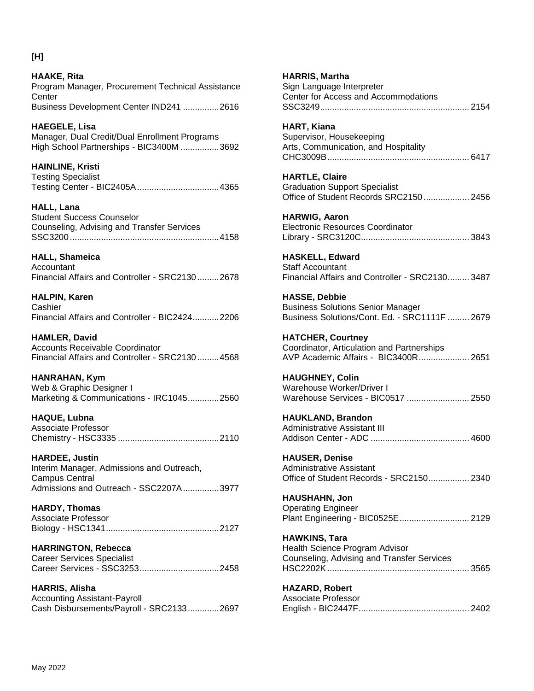**[H]**

**HAAKE, Rita**

Program Manager, Procurement Technical Assistance **Center** Business Development Center IND241 ...............2616 **HAEGELE, Lisa** Manager, Dual Credit/Dual Enrollment Programs High School Partnerships - BIC3400M ................3692 **HAINLINE, Kristi**

Testing Specialist Testing Center - BIC2405A..................................4365

**HALL, Lana** Student Success Counselor Counseling, Advising and Transfer Services SSC3200..............................................................4158

**HALL, Shameica** Accountant Financial Affairs and Controller - SRC2130 .........2678

**HALPIN, Karen** Cashier Financial Affairs and Controller - BIC2424...........2206

**HAMLER, David** Accounts Receivable Coordinator Financial Affairs and Controller - SRC2130 .........4568

**HANRAHAN, Kym** Web & Graphic Designer I Marketing & Communications - IRC1045.............2560

**HAQUE, Lubna** Associate Professor Chemistry - HSC3335 ..........................................2110

**HARDEE, Justin** Interim Manager, Admissions and Outreach, Campus Central Admissions and Outreach - SSC2207A...............3977

**HARDY, Thomas** Associate Professor Biology - HSC1341...............................................2127

**HARRINGTON, Rebecca** Career Services Specialist Career Services - SSC3253.................................2458

**HARRIS, Alisha** Accounting Assistant-Payroll Cash Disbursements/Payroll - SRC2133.............2697

**HARRIS, Martha** Sign Language Interpreter Center for Access and Accommodations SSC3249.............................................................. 2154 **HART, Kiana** Supervisor, Housekeeping Arts, Communication, and Hospitality CHC3009B........................................................... 6417 **HARTLE, Claire** Graduation Support Specialist Office of Student Records SRC2150 ................... 2456 **HARWIG, Aaron** Electronic Resources Coordinator Library - SRC3120C............................................. 3843 **HASKELL, Edward** Staff Accountant Financial Affairs and Controller - SRC2130......... 3487 **HASSE, Debbie** Business Solutions Senior Manager Business Solutions/Cont. Ed. - SRC1111F ......... 2679 **HATCHER, Courtney** Coordinator, Articulation and Partnerships AVP Academic Affairs - BIC3400R..................... 2651 **HAUGHNEY, Colin** Warehouse Worker/Driver I Warehouse Services - BIC0517 .......................... 2550 **HAUKLAND, Brandon** Administrative Assistant III Addison Center - ADC ......................................... 4600 **HAUSER, Denise** Administrative Assistant Office of Student Records - SRC2150................. 2340 **HAUSHAHN, Jon** Operating Engineer Plant Engineering - BIC0525E............................. 2129 **HAWKINS, Tara** Health Science Program Advisor Counseling, Advising and Transfer Services HSC2202K........................................................... 3565

**HAZARD, Robert** Associate Professor English - BIC2447F.............................................. 2402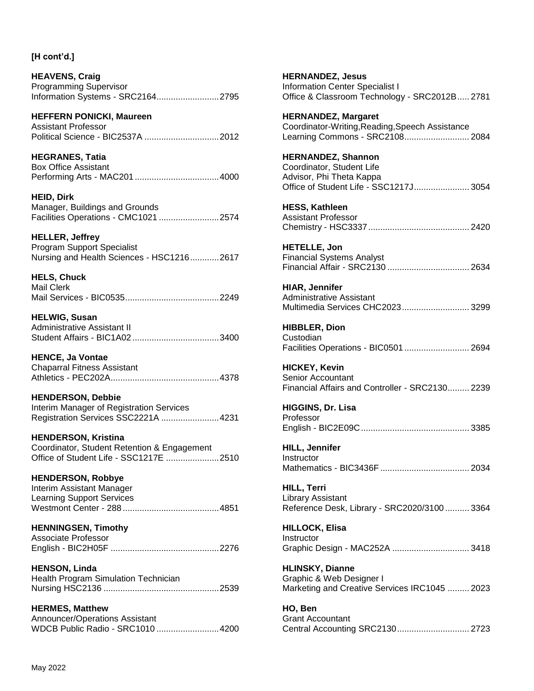**HEAVENS, Craig** Programming Supervisor Information Systems - SRC2164..........................2795

**HEFFERN PONICKI, Maureen** Assistant Professor Political Science - BIC2537A ...............................2012

**HEGRANES, Tatia** Box Office Assistant Performing Arts - MAC201 ...................................4000

**HEID, Dirk** Manager, Buildings and Grounds Facilities Operations - CMC1021 .........................2574

**HELLER, Jeffrey** Program Support Specialist Nursing and Health Sciences - HSC1216............2617

**HELS, Chuck** Mail Clerk Mail Services - BIC0535.......................................2249

**HELWIG, Susan** Administrative Assistant II Student Affairs - BIC1A02 ....................................3400

**HENCE, Ja Vontae** Chaparral Fitness Assistant Athletics - PEC202A.............................................4378

**HENDERSON, Debbie** Interim Manager of Registration Services Registration Services SSC2221A ........................4231

**HENDERSON, Kristina** Coordinator, Student Retention & Engagement Office of Student Life - SSC1217E ......................2510

**HENDERSON, Robbye** Interim Assistant Manager Learning Support Services Westmont Center - 288 ........................................4851

**HENNINGSEN, Timothy** Associate Professor English - BIC2H05F .............................................2276

**HENSON, Linda** Health Program Simulation Technician Nursing HSC2136 ................................................2539

**HERMES, Matthew** Announcer/Operations Assistant WDCB Public Radio - SRC1010 ..........................4200 **HERNANDEZ, Jesus** Information Center Specialist I Office & Classroom Technology - SRC2012B..... 2781

**HERNANDEZ, Margaret** Coordinator-Writing,Reading,Speech Assistance Learning Commons - SRC2108........................... 2084

**HERNANDEZ, Shannon** Coordinator, Student Life Advisor, Phi Theta Kappa Office of Student Life - SSC1217J....................... 3054

**HESS, Kathleen** Assistant Professor Chemistry - HSC3337.......................................... 2420

**HETELLE, Jon** Financial Systems Analyst Financial Affair - SRC2130 .................................. 2634

**HIAR, Jennifer** Administrative Assistant Multimedia Services CHC2023............................ 3299

**HIBBLER, Dion Custodian** Facilities Operations - BIC0501 ........................... 2694

**HICKEY, Kevin** Senior Accountant Financial Affairs and Controller - SRC2130......... 2239

**HIGGINS, Dr. Lisa** Professor English - BIC2E09C............................................. 3385

**HILL, Jennifer Instructor** Mathematics - BIC3436F ..................................... 2034

**HILL, Terri** Library Assistant Reference Desk, Library - SRC2020/3100 .......... 3364

**HILLOCK, Elisa** Instructor Graphic Design - MAC252A ................................ 3418

**HLINSKY, Dianne** Graphic & Web Designer I Marketing and Creative Services IRC1045 ......... 2023

**HO, Ben** Grant Accountant Central Accounting SRC2130.............................. 2723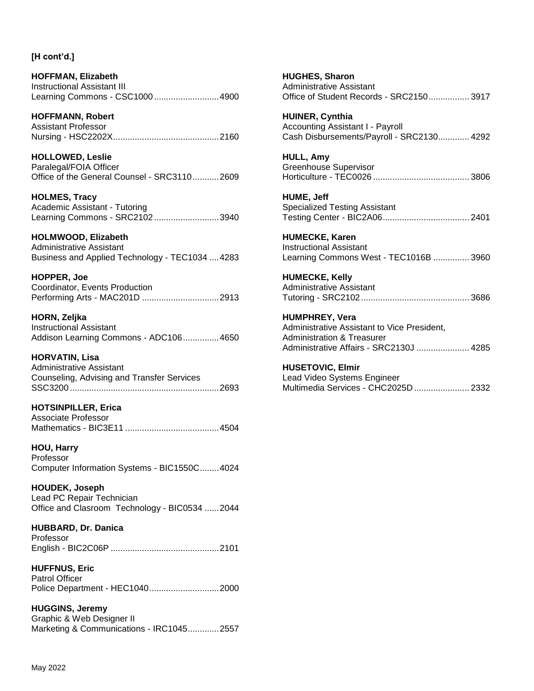**HOFFMAN, Elizabeth** Instructional Assistant III Learning Commons - CSC1000...........................4900

**HOFFMANN, Robert** Assistant Professor Nursing - HSC2202X............................................2160

**HOLLOWED, Leslie** Paralegal/FOIA Officer Office of the General Counsel - SRC3110...........2609

**HOLMES, Tracy** Academic Assistant - Tutoring Learning Commons - SRC2102...........................3940

### **HOLMWOOD, Elizabeth**

Administrative Assistant Business and Applied Technology - TEC1034 ....4283

**HOPPER, Joe** Coordinator, Events Production Performing Arts - MAC201D ................................2913

**HORN, Zeljka** Instructional Assistant Addison Learning Commons - ADC106...............4650

**HORVATIN, Lisa** Administrative Assistant Counseling, Advising and Transfer Services SSC3200..............................................................2693

**HOTSINPILLER, Erica** Associate Professor Mathematics - BIC3E11 .......................................4504

**HOU, Harry** Professor Computer Information Systems - BIC1550C........4024

**HOUDEK, Joseph** Lead PC Repair Technician Office and Clasroom Technology - BIC0534 ......2044

**HUBBARD, Dr. Danica** Professor English - BIC2C06P .............................................2101

**HUFFNUS, Eric** Patrol Officer Police Department - HEC1040.............................2000

**HUGGINS, Jeremy** Graphic & Web Designer II Marketing & Communications - IRC1045.............2557 **HUGHES, Sharon** Administrative Assistant Office of Student Records - SRC2150................. 3917

**HUINER, Cynthia** Accounting Assistant I - Payroll Cash Disbursements/Payroll - SRC2130............. 4292

**HULL, Amy** Greenhouse Supervisor Horticulture - TEC0026 ........................................ 3806

**HUME, Jeff** Specialized Testing Assistant Testing Center - BIC2A06.................................... 2401

**HUMECKE, Karen** Instructional Assistant Learning Commons West - TEC1016B ............... 3960

**HUMECKE, Kelly** Administrative Assistant Tutoring - SRC2102............................................. 3686

**HUMPHREY, Vera** Administrative Assistant to Vice President, Administration & Treasurer Administrative Affairs - SRC2130J ...................... 4285

**HUSETOVIC, Elmir** Lead Video Systems Engineer Multimedia Services - CHC2025D....................... 2332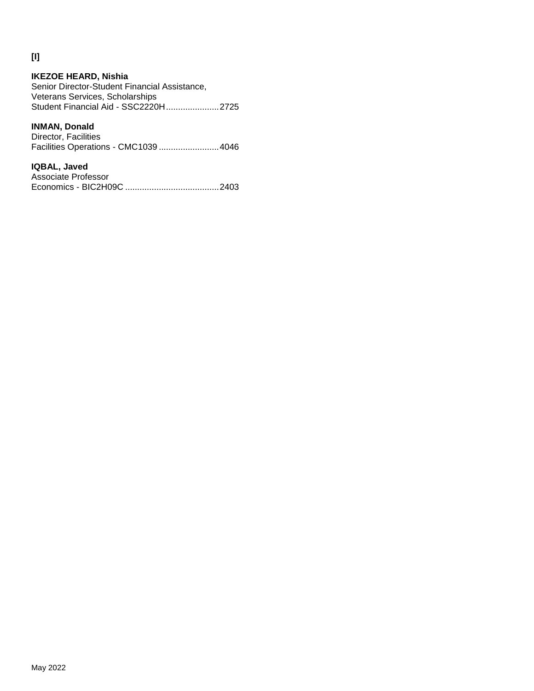## **[I]**

#### **IKEZOE HEARD, Nishia** Senior Director-Student Financial Assistance, Veterans Services, Scholarships Student Financial Aid - SSC2220H......................2725

## **INMAN, Donald**

| Director, Facilities                 |  |
|--------------------------------------|--|
| Facilities Operations - CMC1039 4046 |  |

### **IQBAL, Javed**

| Associate Professor |  |
|---------------------|--|
|                     |  |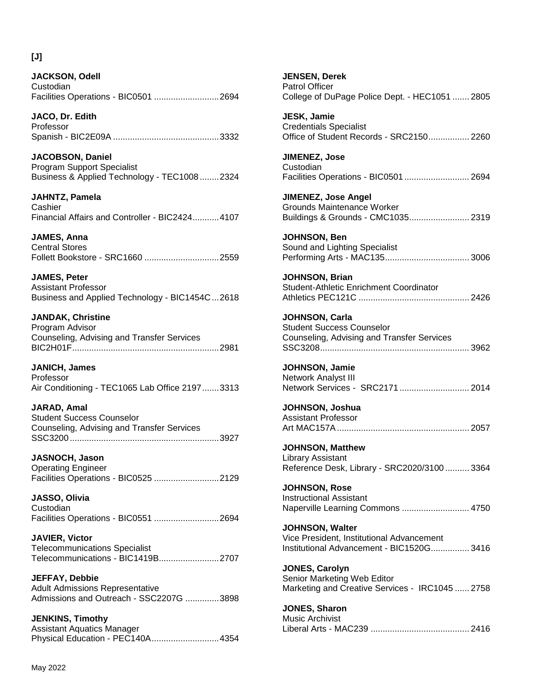## **[J]**

**JACKSON, Odell Custodian** Facilities Operations - BIC0501 ...........................2694

**JACO, Dr. Edith** Professor Spanish - BIC2E09A ............................................3332

**JACOBSON, Daniel** Program Support Specialist Business & Applied Technology - TEC1008 ........2324

**JAHNTZ, Pamela** Cashier Financial Affairs and Controller - BIC2424...........4107

**JAMES, Anna** Central Stores Follett Bookstore - SRC1660 ...............................2559

**JAMES, Peter** Assistant Professor Business and Applied Technology - BIC1454C...2618

**JANDAK, Christine** Program Advisor Counseling, Advising and Transfer Services BIC2H01F.............................................................2981

**JANICH, James** Professor Air Conditioning - TEC1065 Lab Office 2197.......3313

**JARAD, Amal** Student Success Counselor Counseling, Advising and Transfer Services SSC3200..............................................................3927

**JASNOCH, Jason** Operating Engineer Facilities Operations - BIC0525 ...........................2129

**JASSO, Olivia** Custodian Facilities Operations - BIC0551 ...........................2694

**JAVIER, Victor** Telecommunications Specialist Telecommunications - BIC1419B.........................2707

**JEFFAY, Debbie** Adult Admissions Representative Admissions and Outreach - SSC2207G ..............3898

**JENKINS, Timothy** Assistant Aquatics Manager Physical Education - PEC140A............................4354 **JENSEN, Derek** Patrol Officer College of DuPage Police Dept. - HEC1051 ....... 2805

**JESK, Jamie** Credentials Specialist Office of Student Records - SRC2150................. 2260

**JIMENEZ, Jose Custodian** Facilities Operations - BIC0501 ........................... 2694

**JIMENEZ, Jose Angel** Grounds Maintenance Worker Buildings & Grounds - CMC1035......................... 2319

**JOHNSON, Ben** Sound and Lighting Specialist Performing Arts - MAC135................................... 3006

**JOHNSON, Brian** Student-Athletic Enrichment Coordinator Athletics PEC121C .............................................. 2426

**JOHNSON, Carla** Student Success Counselor Counseling, Advising and Transfer Services SSC3208.............................................................. 3962

**JOHNSON, Jamie** Network Analyst III Network Services - SRC2171 ............................. 2014

**JOHNSON, Joshua** Assistant Professor Art MAC157A....................................................... 2057

**JOHNSON, Matthew** Library Assistant Reference Desk, Library - SRC2020/3100 .......... 3364

**JOHNSON, Rose** Instructional Assistant Naperville Learning Commons ............................ 4750

**JOHNSON, Walter** Vice President, Institutional Advancement Institutional Advancement - BIC1520G................ 3416

**JONES, Carolyn** Senior Marketing Web Editor Marketing and Creative Services - IRC1045 ...... 2758

**JONES, Sharon** Music Archivist Liberal Arts - MAC239 ......................................... 2416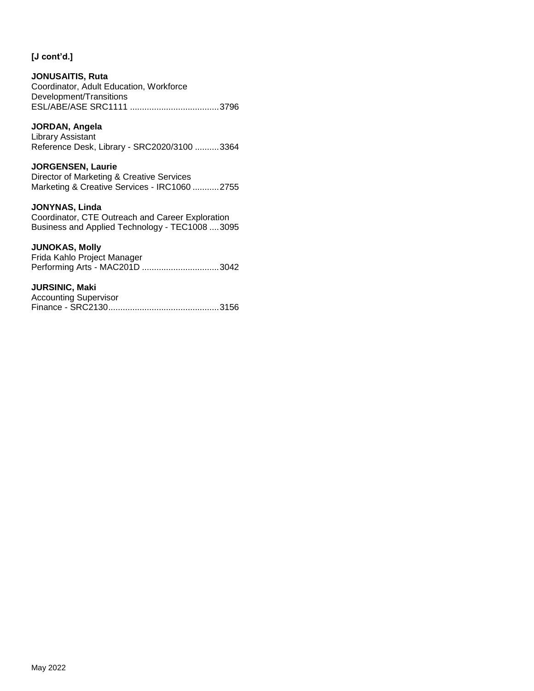## **JONUSAITIS, Ruta**

Coordinator, Adult Education, Workforce Development/Transitions ESL/ABE/ASE SRC1111 .....................................3796

## **JORDAN, Angela**

Library Assistant Reference Desk, Library - SRC2020/3100 ..........3364

### **JORGENSEN, Laurie**

Director of Marketing & Creative Services Marketing & Creative Services - IRC1060 ...........2755

### **JONYNAS, Linda**

Coordinator, CTE Outreach and Career Exploration Business and Applied Technology - TEC1008 ....3095

#### **JUNOKAS, Molly**

Frida Kahlo Project Manager Performing Arts - MAC201D ................................3042

#### **JURSINIC, Maki**

| <b>Accounting Supervisor</b> |  |
|------------------------------|--|
|                              |  |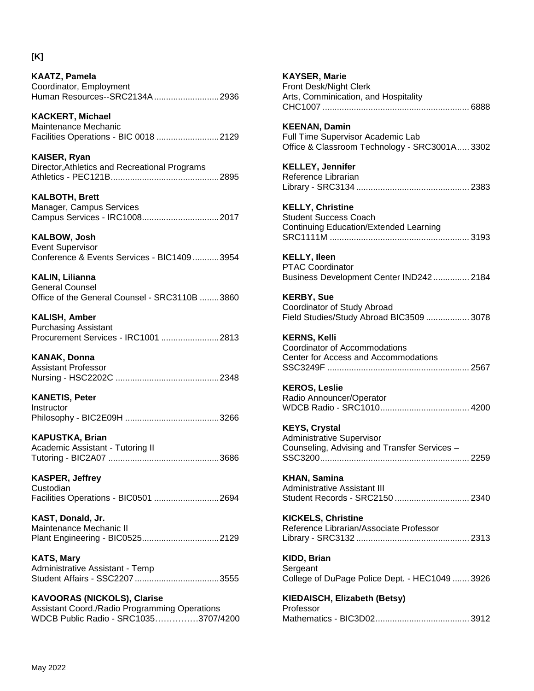## **[K]**

**KAATZ, Pamela** Coordinator, Employment Human Resources--SRC2134A...........................2936

**KACKERT, Michael** Maintenance Mechanic Facilities Operations - BIC 0018 ..........................2129

**KAISER, Ryan** Director,Athletics and Recreational Programs Athletics - PEC121B.............................................2895

**KALBOTH, Brett** Manager, Campus Services Campus Services - IRC1008................................2017

**KALBOW, Josh** Event Supervisor Conference & Events Services - BIC1409 ...........3954

**KALIN, Lilianna** General Counsel Office of the General Counsel - SRC3110B ........3860

**KALISH, Amber** Purchasing Assistant Procurement Services - IRC1001 ........................2813

**KANAK, Donna** Assistant Professor Nursing - HSC2202C ...........................................2348

**KANETIS, Peter Instructor** Philosophy - BIC2E09H .......................................3266

**KAPUSTKA, Brian** Academic Assistant - Tutoring II Tutoring - BIC2A07 ..............................................3686

**KASPER, Jeffrey** Custodian Facilities Operations - BIC0501 ...........................2694

**KAST, Donald, Jr.** Maintenance Mechanic II Plant Engineering - BIC0525................................2129

**KATS, Mary** Administrative Assistant - Temp Student Affairs - SSC2207 ...................................3555

**KAVOORAS (NICKOLS), Clarise** Assistant Coord./Radio Programming Operations WDCB Public Radio - SRC1035……………3707/4200 **KAYSER, Marie** Front Desk/Night Clerk Arts, Comminication, and Hospitality CHC1007 ............................................................. 6888

**KEENAN, Damin** Full Time Supervisor Academic Lab Office & Classroom Technology - SRC3001A..... 3302

**KELLEY, Jennifer** Reference Librarian Library - SRC3134 ............................................... 2383

**KELLY, Christine** Student Success Coach Continuing Education/Extended Learning SRC1111M .......................................................... 3193

**KELLY, Ileen** PTAC Coordinator Business Development Center IND242............... 2184

**KERBY, Sue** Coordinator of Study Abroad Field Studies/Study Abroad BIC3509 .................. 3078

**KERNS, Kelli** Coordinator of Accommodations Center for Access and Accommodations SSC3249F ........................................................... 2567

**KEROS, Leslie** Radio Announcer/Operator WDCB Radio - SRC1010..................................... 4200

**KEYS, Crystal** Administrative Supervisor Counseling, Advising and Transfer Services – SSC3200.............................................................. 2259

**KHAN, Samina** Administrative Assistant III Student Records - SRC2150 ............................... 2340

**KICKELS, Christine** Reference Librarian/Associate Professor Library - SRC3132 ............................................... 2313

**KIDD, Brian Sergeant** College of DuPage Police Dept. - HEC1049 ....... 3926

**KIEDAISCH, Elizabeth (Betsy)** Professor Mathematics - BIC3D02....................................... 3912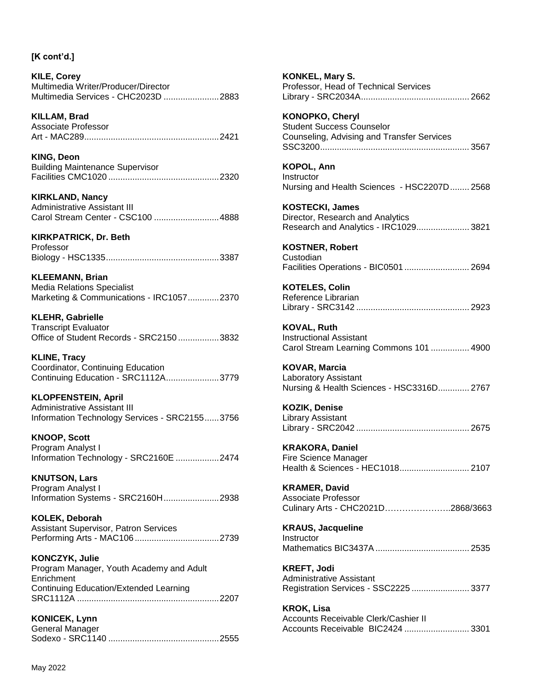**KILE, Corey** Multimedia Writer/Producer/Director Multimedia Services - CHC2023D .......................2883

**KILLAM, Brad** Associate Professor Art - MAC289........................................................2421

**KING, Deon** Building Maintenance Supervisor Facilities CMC1020 ..............................................2320

**KIRKLAND, Nancy** Administrative Assistant III Carol Stream Center - CSC100 ...........................4888

**KIRKPATRICK, Dr. Beth** Professor Biology - HSC1335...............................................3387

**KLEEMANN, Brian** Media Relations Specialist Marketing & Communications - IRC1057.............2370

**KLEHR, Gabrielle** Transcript Evaluator Office of Student Records - SRC2150 .................3832

**KLINE, Tracy** Coordinator, Continuing Education Continuing Education - SRC1112A......................3779

**KLOPFENSTEIN, April** Administrative Assistant III Information Technology Services - SRC2155......3756

**KNOOP, Scott** Program Analyst I Information Technology - SRC2160E ..................2474

**KNUTSON, Lars** Program Analyst I Information Systems - SRC2160H.......................2938

**KOLEK, Deborah** Assistant Supervisor, Patron Services Performing Arts - MAC106 ...................................2739

**KONCZYK, Julie** Program Manager, Youth Academy and Adult **Enrichment** Continuing Education/Extended Learning SRC1112A ...........................................................2207

**KONICEK, Lynn** General Manager Sodexo - SRC1140 ..............................................2555 **KONKEL, Mary S.** Professor, Head of Technical Services Library - SRC2034A............................................. 2662 **KONOPKO, Cheryl** Student Success Counselor Counseling, Advising and Transfer Services SSC3200.............................................................. 3567 **KOPOL, Ann Instructor** Nursing and Health Sciences - HSC2207D........ 2568 **KOSTECKI, James** Director, Research and Analytics Research and Analytics - IRC1029...................... 3821 **KOSTNER, Robert** Custodian Facilities Operations - BIC0501 ........................... 2694 **KOTELES, Colin** Reference Librarian Library - SRC3142 ............................................... 2923 **KOVAL, Ruth** Instructional Assistant Carol Stream Learning Commons 101 ................ 4900 **KOVAR, Marcia** Laboratory Assistant Nursing & Health Sciences - HSC3316D............. 2767 **KOZIK, Denise** Library Assistant Library - SRC2042 ............................................... 2675 **KRAKORA, Daniel** Fire Science Manager Health & Sciences - HEC1018............................. 2107 **KRAMER, David** Associate Professor Culinary Arts - CHC2021D…………………..2868/3663 **KRAUS, Jacqueline Instructor** Mathematics BIC3437A ....................................... 2535 **KREFT, Jodi** Administrative Assistant Registration Services - SSC2225 ........................ 3377 **KROK, Lisa** Accounts Receivable Clerk/Cashier II Accounts Receivable BIC2424 ........................... 3301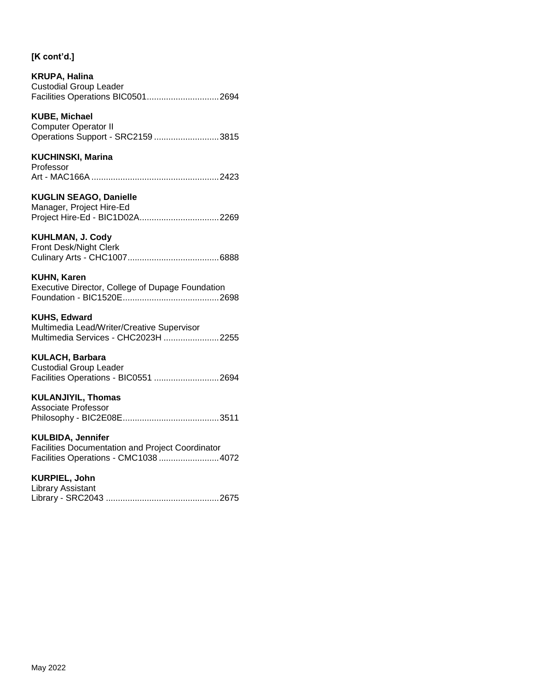## **KRUPA, Halina** Custodial Group Leader Facilities Operations BIC0501..............................2694

## **KUBE, Michael**

| <b>Computer Operator II</b>       |  |
|-----------------------------------|--|
| Operations Support - SRC2159 3815 |  |

## **KUCHINSKI, Marina**

| Professor |  |
|-----------|--|
|           |  |

# **KUGLIN SEAGO, Danielle**

| Manager, Project Hire-Ed       |  |
|--------------------------------|--|
| Project Hire-Ed - BIC1D02A2269 |  |

## **KUHLMAN, J. Cody**

| Front Desk/Night Clerk |  |
|------------------------|--|
|                        |  |

## **KUHN, Karen**

Executive Director, College of Dupage Foundation Foundation - BIC1520E........................................2698

## **KUHS, Edward**

Multimedia Lead/Writer/Creative Supervisor Multimedia Services - CHC2023H .......................2255

## **KULACH, Barbara**

Custodial Group Leader Facilities Operations - BIC0551 ...........................2694

## **KULANJIYIL, Thomas**

| Associate Professor |  |
|---------------------|--|
|                     |  |

## **KULBIDA, Jennifer**

Facilities Documentation and Project Coordinator Facilities Operations - CMC1038 .........................4072

## **KURPIEL, John**

| Library Assistant |  |
|-------------------|--|
|                   |  |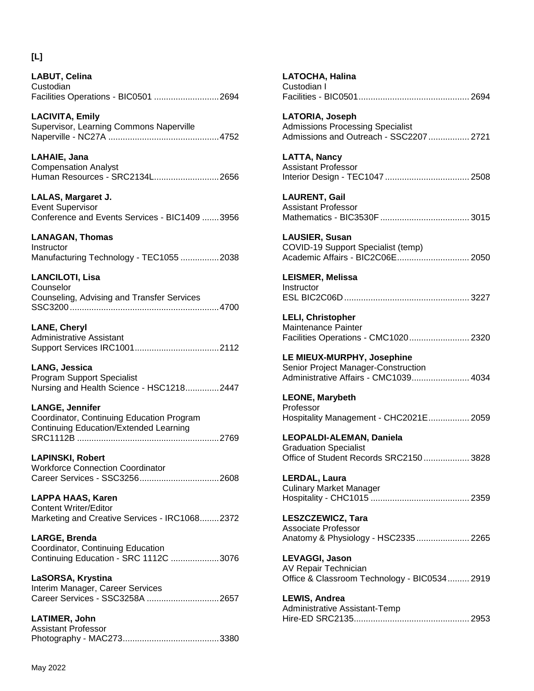## **[L]**

**LABUT, Celina Custodian** Facilities Operations - BIC0501 ...........................2694

**LACIVITA, Emily** Supervisor, Learning Commons Naperville Naperville - NC27A ..............................................4752

**LAHAIE, Jana** Compensation Analyst Human Resources - SRC2134L...........................2656

**LALAS, Margaret J.** Event Supervisor Conference and Events Services - BIC1409 .......3956

**LANAGAN, Thomas Instructor** 

Manufacturing Technology - TEC1055 ................2038

**LANCILOTI, Lisa** Counselor Counseling, Advising and Transfer Services SSC3200..............................................................4700

**LANE, Cheryl** Administrative Assistant Support Services IRC1001...................................2112

**LANG, Jessica** Program Support Specialist Nursing and Health Science - HSC1218..............2447

**LANGE, Jennifer** Coordinator, Continuing Education Program Continuing Education/Extended Learning SRC1112B ...........................................................2769

**LAPINSKI, Robert** Workforce Connection Coordinator Career Services - SSC3256.................................2608

**LAPPA HAAS, Karen** Content Writer/Editor Marketing and Creative Services - IRC1068........2372

**LARGE, Brenda** Coordinator, Continuing Education Continuing Education - SRC 1112C ....................3076

**LaSORSA, Krystina** Interim Manager, Career Services Career Services - SSC3258A ..............................2657

**LATIMER, John** Assistant Professor Photography - MAC273........................................3380

| Custodian I                                                                                                                                        |
|----------------------------------------------------------------------------------------------------------------------------------------------------|
| LATORIA, Joseph<br><b>Admissions Processing Specialist</b><br>Admissions and Outreach - SSC2207  2721                                              |
| <b>LATTA, Nancy</b><br><b>Assistant Professor</b>                                                                                                  |
| <b>LAURENT, Gail</b><br><b>Assistant Professor</b>                                                                                                 |
| <b>LAUSIER, Susan</b><br>COVID-19 Support Specialist (temp)<br>Academic Affairs - BIC2C06E 2050                                                    |
| LEISMER, Melissa<br>Instructor                                                                                                                     |
| <b>LELI, Christopher</b><br>Maintenance Painter<br>Facilities Operations - CMC1020 2320                                                            |
| LE MIEUX-MURPHY, Josephine<br>Senior Project Manager-Construction<br>Denior + reject Manager Construction<br>Administrative Affairs - CMC1039 4034 |
| <b>LEONE, Marybeth</b><br>Professor<br>Hospitality Management - CHC2021E 2059                                                                      |
| LEOPALDI-ALEMAN, Daniela<br><b>Graduation Specialist</b><br>Office of Student Records SRC2150 3828                                                 |
| <b>LERDAL, Laura</b><br><b>Culinary Market Manager</b>                                                                                             |
| <b>LESZCZEWICZ, Tara</b><br><b>Associate Professor</b><br>Anatomy & Physiology - HSC2335 2265                                                      |
| LEVAGGI, Jason<br><b>AV Repair Technician</b><br>Office & Classroom Technology - BIC0534 2919                                                      |
| <b>LEWIS, Andrea</b><br>Administrative Assistant-Temp                                                                                              |

**LATOCHA, Halina**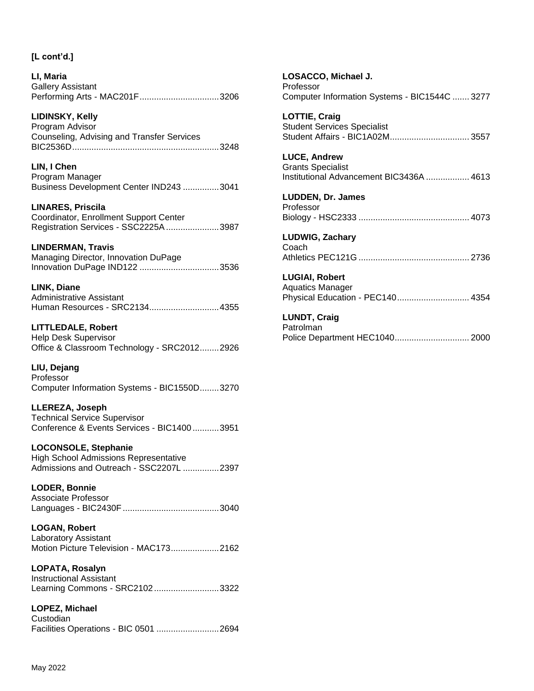**LI, Maria** Gallery Assistant Performing Arts - MAC201F.................................3206

## **LIDINSKY, Kelly**

Program Advisor Counseling, Advising and Transfer Services BIC2536D.............................................................3248

**LIN, I Chen** Program Manager Business Development Center IND243 ...............3041

**LINARES, Priscila** Coordinator, Enrollment Support Center Registration Services - SSC2225A......................3987

### **LINDERMAN, Travis**

Managing Director, Innovation DuPage Innovation DuPage IND122 .................................3536

**LINK, Diane**

Administrative Assistant Human Resources - SRC2134.............................4355

**LITTLEDALE, Robert** Help Desk Supervisor Office & Classroom Technology - SRC2012........2926

**LIU, Dejang** Professor Computer Information Systems - BIC1550D........3270

**LLEREZA, Joseph** Technical Service Supervisor Conference & Events Services - BIC1400 ...........3951

**LOCONSOLE, Stephanie**

High School Admissions Representative Admissions and Outreach - SSC2207L ...............2397

**LODER, Bonnie** Associate Professor Languages - BIC2430F........................................3040

**LOGAN, Robert** Laboratory Assistant

Motion Picture Television - MAC173....................2162

**LOPATA, Rosalyn** Instructional Assistant Learning Commons - SRC2102...........................3322

**LOPEZ, Michael Custodian** Facilities Operations - BIC 0501 ..........................2694 **LOSACCO, Michael J.** Professor Computer Information Systems - BIC1544C ....... 3277 **LOTTIE, Craig** Student Services Specialist Student Affairs - BIC1A02M................................. 3557 **LUCE, Andrew** Grants Specialist Institutional Advancement BIC3436A .................. 4613 **LUDDEN, Dr. James** Professor Biology - HSC2333 .............................................. 4073 **LUDWIG, Zachary** Coach Athletics PEC121G .............................................. 2736 **LUGIAI, Robert** Aquatics Manager Physical Education - PEC140.............................. 4354

**LUNDT, Craig**

Patrolman Police Department HEC1040............................... 2000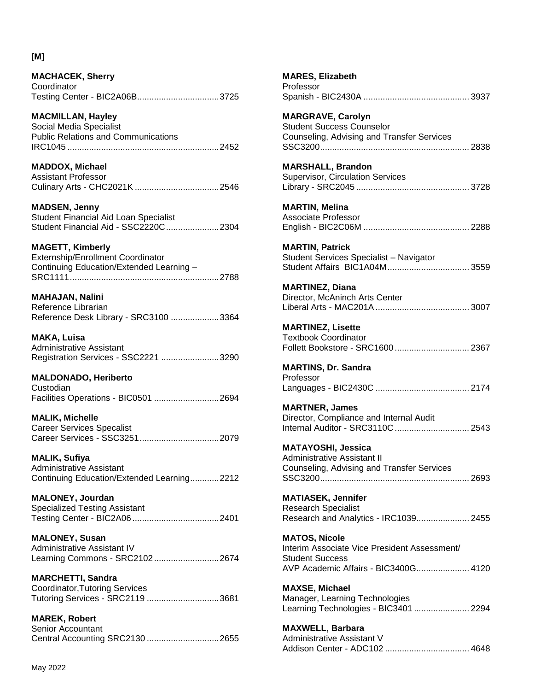## **[M]**

| <b>MACHACEK, Sherry</b> |  |
|-------------------------|--|
| Coordinator             |  |
|                         |  |

**MACMILLAN, Hayley** Social Media Specialist Public Relations and Communications IRC1045 ...............................................................2452

**MADDOX, Michael** Assistant Professor Culinary Arts - CHC2021K ...................................2546

**MADSEN, Jenny** Student Financial Aid Loan Specialist Student Financial Aid - SSC2220C......................2304

**MAGETT, Kimberly** Externship/Enrollment Coordinator Continuing Education/Extended Learning – SRC1111..............................................................2788

**MAHAJAN, Nalini** Reference Librarian Reference Desk Library - SRC3100 ....................3364

**MAKA, Luisa** Administrative Assistant Registration Services - SSC2221 ........................3290

**MALDONADO, Heriberto**

Custodian Facilities Operations - BIC0501 ...........................2694

**MALIK, Michelle** Career Services Specalist Career Services - SSC3251.................................2079

**MALIK, Sufiya** Administrative Assistant Continuing Education/Extended Learning............2212

**MALONEY, Jourdan** Specialized Testing Assistant Testing Center - BIC2A06 ....................................2401

**MALONEY, Susan** Administrative Assistant IV Learning Commons - SRC2102...........................2674

**MARCHETTI, Sandra** Coordinator,Tutoring Services Tutoring Services - SRC2119 ..............................3681

**MAREK, Robert** Senior Accountant Central Accounting SRC2130 ..............................2655

| <b>MARES, Elizabeth</b><br>Professor                                                                                                   |
|----------------------------------------------------------------------------------------------------------------------------------------|
| <b>MARGRAVE, Carolyn</b><br><b>Student Success Counselor</b><br>Counseling, Advising and Transfer Services                             |
| <b>MARSHALL, Brandon</b><br><b>Supervisor, Circulation Services</b>                                                                    |
| <b>MARTIN, Melina</b><br><b>Associate Professor</b>                                                                                    |
| <b>MARTIN, Patrick</b><br>Student Services Specialist - Navigator                                                                      |
| <b>MARTINEZ, Diana</b><br>Director, McAninch Arts Center                                                                               |
| <b>MARTINEZ, Lisette</b><br><b>Textbook Coordinator</b><br>Follett Bookstore - SRC1600  2367                                           |
| <b>MARTINS, Dr. Sandra</b><br>Professor                                                                                                |
| <b>MARTNER, James</b><br>Director, Compliance and Internal Audit<br>Internal Auditor - SRC3110C  2543                                  |
| <b>MATAYOSHI, Jessica</b><br><b>Administrative Assistant II</b><br>Counseling, Advising and Transfer Services                          |
| <b>MATIASEK, Jennifer</b><br><b>Research Specialist</b><br>Research and Analytics - IRC1039 2455                                       |
| <b>MATOS, Nicole</b><br>Interim Associate Vice President Assessment/<br><b>Student Success</b><br>AVP Academic Affairs - BIC3400G 4120 |
| <b>MAXSE, Michael</b><br>Manager, Learning Technologies<br>Learning Technologies - BIC3401  2294                                       |
| <b>MAXWELL, Barbara</b><br>Administrative Assistant V                                                                                  |

Addison Center - ADC102 ................................... 4648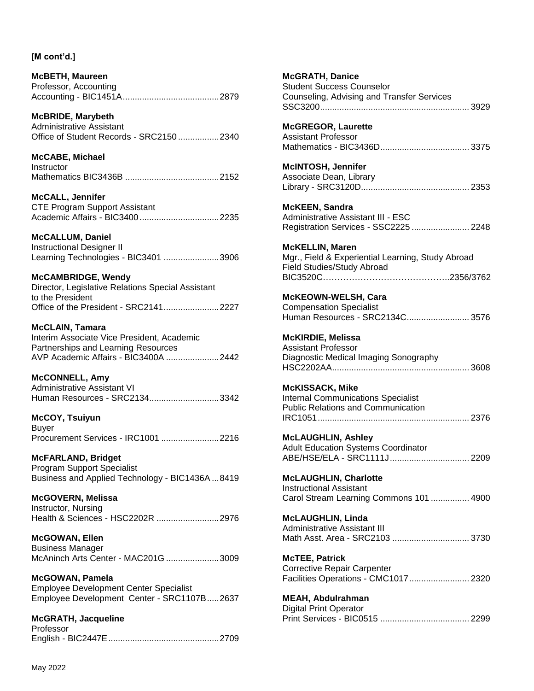**McBETH, Maureen** Professor, Accounting Accounting - BIC1451A........................................2879

**McBRIDE, Marybeth** Administrative Assistant Office of Student Records - SRC2150 .................2340

**McCABE, Michael Instructor** Mathematics BIC3436B .......................................2152

**McCALL, Jennifer** CTE Program Support Assistant Academic Affairs - BIC3400.................................2235

**McCALLUM, Daniel** Instructional Designer II Learning Technologies - BIC3401 .......................3906

**McCAMBRIDGE, Wendy** Director, Legislative Relations Special Assistant to the President Office of the President - SRC2141.......................2227

**McCLAIN, Tamara** Interim Associate Vice President, Academic Partnerships and Learning Resources AVP Academic Affairs - BIC3400A ......................2442

**McCONNELL, Amy** Administrative Assistant VI Human Resources - SRC2134.............................3342

**McCOY, Tsuiyun** Buyer Procurement Services - IRC1001 ........................2216

**McFARLAND, Bridget** Program Support Specialist Business and Applied Technology - BIC1436A ...8419

**McGOVERN, Melissa** Instructor, Nursing Health & Sciences - HSC2202R ..........................2976

**McGOWAN, Ellen** Business Manager McAninch Arts Center - MAC201G ......................3009

**McGOWAN, Pamela** Employee Development Center Specialist Employee Development Center - SRC1107B.....2637

**McGRATH, Jacqueline** Professor English - BIC2447E..............................................2709 **McGRATH, Danice** Student Success Counselor Counseling, Advising and Transfer Services SSC3200.............................................................. 3929 **McGREGOR, Laurette** Assistant Professor Mathematics - BIC3436D..................................... 3375 **McINTOSH, Jennifer** Associate Dean, Library Library - SRC3120D............................................. 2353 **McKEEN, Sandra** Administrative Assistant III - ESC Registration Services - SSC2225 ........................ 2248 **McKELLIN, Maren** Mgr., Field & Experiential Learning, Study Abroad Field Studies/Study Abroad BIC3520C……………………………………..2356/3762 **McKEOWN-WELSH, Cara** Compensation Specialist Human Resources - SRC2134C.......................... 3576 **McKIRDIE, Melissa** Assistant Professor Diagnostic Medical Imaging Sonography HSC2202AA......................................................... 3608 **McKISSACK, Mike** Internal Communications Specialist Public Relations and Communication IRC1051............................................................... 2376 **McLAUGHLIN, Ashley** Adult Education Systems Coordinator ABE/HSE/ELA - SRC1111J................................. 2209 **McLAUGHLIN, Charlotte** Instructional Assistant Carol Stream Learning Commons 101 ................ 4900 **McLAUGHLIN, Linda** Administrative Assistant III Math Asst. Area - SRC2103 ................................. 3730 **McTEE, Patrick** Corrective Repair Carpenter Facilities Operations - CMC1017......................... 2320 **MEAH, Abdulrahman** Digital Print Operator Print Services - BIC0515 ..................................... 2299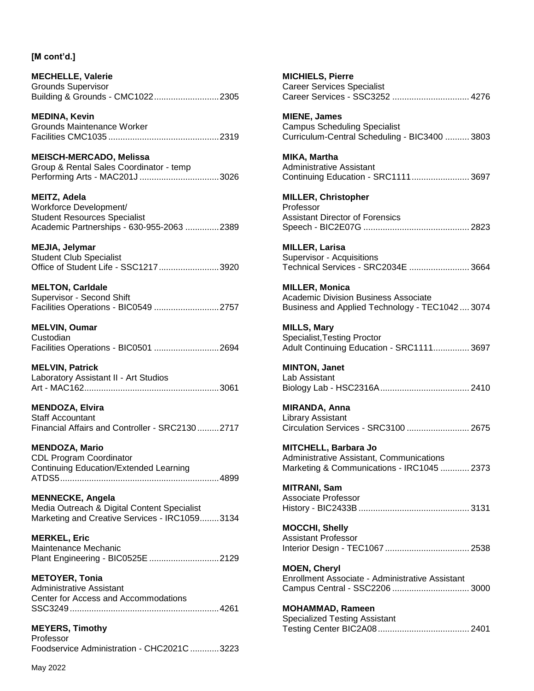**MECHELLE, Valerie** Grounds Supervisor Building & Grounds - CMC1022...........................2305

**MEDINA, Kevin** Grounds Maintenance Worker Facilities CMC1035 ..............................................2319

**MEISCH-MERCADO, Melissa** Group & Rental Sales Coordinator - temp Performing Arts - MAC201J .................................3026

**MEITZ, Adela** Workforce Development/ Student Resources Specialist Academic Partnerships - 630-955-2063 ..............2389

**MEJIA, Jelymar** Student Club Specialist Office of Student Life - SSC1217.........................3920

**MELTON, Carldale** Supervisor - Second Shift Facilities Operations - BIC0549 ...........................2757

**MELVIN, Oumar Custodian** Facilities Operations - BIC0501 ...........................2694

**MELVIN, Patrick** Laboratory Assistant II - Art Studios Art - MAC162........................................................3061

**MENDOZA, Elvira** Staff Accountant Financial Affairs and Controller - SRC2130 .........2717

**MENDOZA, Mario** CDL Program Coordinator Continuing Education/Extended Learning ATDS5..................................................................4899

**MENNECKE, Angela** Media Outreach & Digital Content Specialist Marketing and Creative Services - IRC1059........3134

**MERKEL, Eric** Maintenance Mechanic Plant Engineering - BIC0525E .............................2129

**METOYER, Tonia** Administrative Assistant Center for Access and Accommodations SSC3249..............................................................4261

**MEYERS, Timothy Professor** Foodservice Administration - CHC2021C ............3223 **MICHIELS, Pierre** Career Services Specialist Career Services - SSC3252 ................................ 4276

**MIENE, James** Campus Scheduling Specialist Curriculum-Central Scheduling - BIC3400 .......... 3803

**MIKA, Martha** Administrative Assistant Continuing Education - SRC1111........................ 3697

**MILLER, Christopher** Professor Assistant Director of Forensics Speech - BIC2E07G ............................................ 2823

**MILLER, Larisa** Supervisor - Acquisitions Technical Services - SRC2034E ......................... 3664

**MILLER, Monica** Academic Division Business Associate Business and Applied Technology - TEC1042 .... 3074

**MILLS, Mary** Specialist,Testing Proctor Adult Continuing Education - SRC1111............... 3697

**MINTON, Janet** Lab Assistant Biology Lab - HSC2316A..................................... 2410

**MIRANDA, Anna** Library Assistant Circulation Services - SRC3100 .......................... 2675

**MITCHELL, Barbara Jo** Administrative Assistant, Communications Marketing & Communications - IRC1045 ............ 2373

**MITRANI, Sam** Associate Professor History - BIC2433B .............................................. 3131

**MOCCHI, Shelly** Assistant Professor Interior Design - TEC1067 ................................... 2538

**MOEN, Cheryl** Enrollment Associate - Administrative Assistant Campus Central - SSC2206 ................................ 3000

**MOHAMMAD, Rameen** Specialized Testing Assistant Testing Center BIC2A08...................................... 2401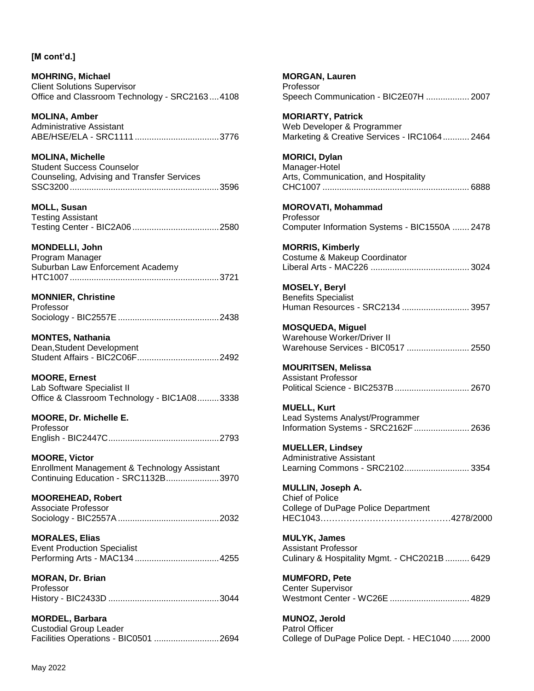**MOHRING, Michael** Client Solutions Supervisor Office and Classroom Technology - SRC2163....4108

**MOLINA, Amber** Administrative Assistant ABE/HSE/ELA - SRC1111 ...................................3776

**MOLINA, Michelle** Student Success Counselor Counseling, Advising and Transfer Services SSC3200..............................................................3596

**MOLL, Susan** Testing Assistant Testing Center - BIC2A06 ....................................2580

**MONDELLI, John** Program Manager

Suburban Law Enforcement Academy HTC1007..............................................................3721

## **MONNIER, Christine**

| Professor |  |
|-----------|--|
|           |  |

**MONTES, Nathania** Dean,Student Development Student Affairs - BIC2C06F..................................2492

**MOORE, Ernest** Lab Software Specialist II Office & Classroom Technology - BIC1A08.........3338

**MOORE, Dr. Michelle E.** Professor English - BIC2447C..............................................2793

**MOORE, Victor** Enrollment Management & Technology Assistant Continuing Education - SRC1132B......................3970

**MOOREHEAD, Robert** Associate Professor Sociology - BIC2557A..........................................2032

**MORALES, Elias** Event Production Specialist Performing Arts - MAC134 ...................................4255

**MORAN, Dr. Brian** Professor History - BIC2433D ..............................................3044

**MORDEL, Barbara** Custodial Group Leader Facilities Operations - BIC0501 ...........................2694 **MORGAN, Lauren** Professor Speech Communication - BIC2E07H .................. 2007 **MORIARTY, Patrick** Web Developer & Programmer

Marketing & Creative Services - IRC1064........... 2464

**MORICI, Dylan** Manager-Hotel Arts, Communication, and Hospitality CHC1007 ............................................................. 6888

**MOROVATI, Mohammad** Professor Computer Information Systems - BIC1550A ....... 2478

**MORRIS, Kimberly** Costume & Makeup Coordinator Liberal Arts - MAC226 ......................................... 3024

**MOSELY, Beryl** Benefits Specialist Human Resources - SRC2134 ............................ 3957

**MOSQUEDA, Miguel** Warehouse Worker/Driver II Warehouse Services - BIC0517 .......................... 2550

**MOURITSEN, Melissa** Assistant Professor Political Science - BIC2537B............................... 2670

**MUELL, Kurt** Lead Systems Analyst/Programmer Information Systems - SRC2162F....................... 2636

**MUELLER, Lindsey** Administrative Assistant Learning Commons - SRC2102........................... 3354

**MULLIN, Joseph A.** Chief of Police College of DuPage Police Department HEC1043………………………………………4278/2000

**MULYK, James** Assistant Professor Culinary & Hospitality Mgmt. - CHC2021B .......... 6429

**MUMFORD, Pete** Center Supervisor Westmont Center - WC26E ................................. 4829

**MUNOZ, Jerold** Patrol Officer College of DuPage Police Dept. - HEC1040 ....... 2000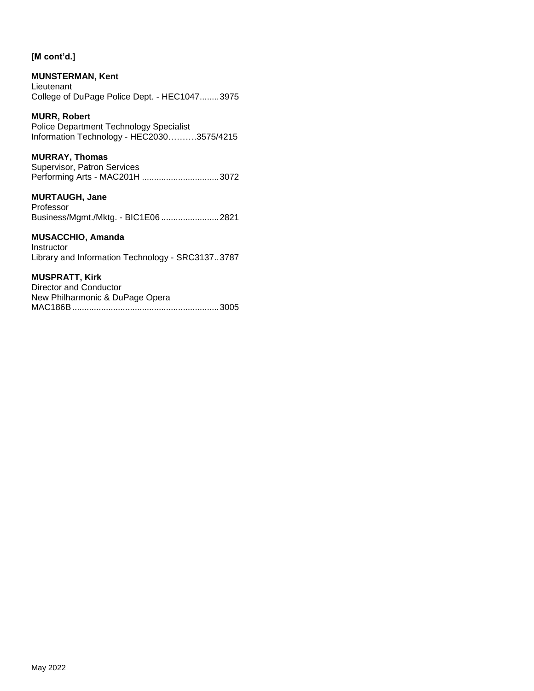## **MUNSTERMAN, Kent**

Lieutenant College of DuPage Police Dept. - HEC1047........3975

### **MURR, Robert**

Police Department Technology Specialist Information Technology - HEC2030……….3575/4215

### **MURRAY, Thomas**

Supervisor, Patron Services Performing Arts - MAC201H ................................3072

### **MURTAUGH, Jane**

Professor Business/Mgmt./Mktg. - BIC1E06 ........................2821

### **MUSACCHIO, Amanda**

Instructor Library and Information Technology - SRC3137..3787

#### **MUSPRATT, Kirk**

| Director and Conductor          |  |
|---------------------------------|--|
| New Philharmonic & DuPage Opera |  |
|                                 |  |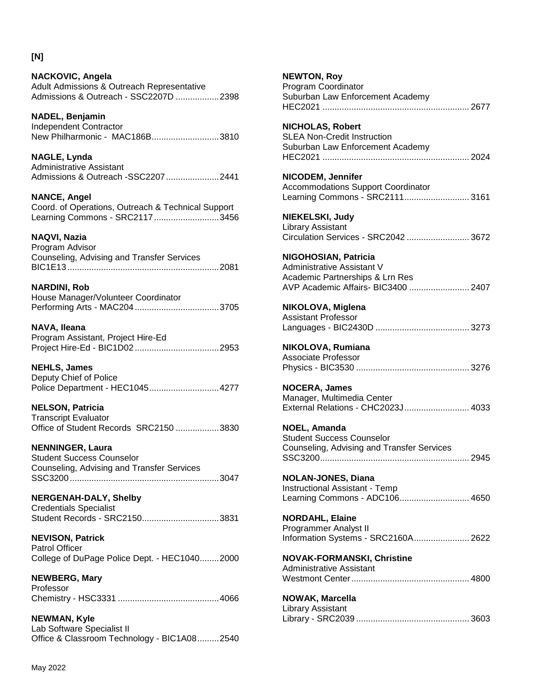#### **NACKOVIC, Angela** Adult Admissions & Outreach Representative Admissions & Outreach - SSC2207D ..................2398

**NADEL, Benjamin** Independent Contractor New Philharmonic - MAC186B............................3810

**NAGLE, Lynda** Administrative Assistant Admissions & Outreach -SSC2207......................2441

**NANCE, Angel** Coord. of Operations, Outreach & Technical Support Learning Commons - SRC2117...........................3456

## **NAQVI, Nazia**

Program Advisor Counseling, Advising and Transfer Services BIC1E13...............................................................2081

**NARDINI, Rob**

House Manager/Volunteer Coordinator Performing Arts - MAC204 ...................................3705

**NAVA, Ileana** Program Assistant, Project Hire-Ed Project Hire-Ed - BIC1D02 ...................................2953

**NEHLS, James** Deputy Chief of Police Police Department - HEC1045.............................4277

**NELSON, Patricia** Transcript Evaluator Office of Student Records SRC2150 ..................3830

**NENNINGER, Laura** Student Success Counselor Counseling, Advising and Transfer Services SSC3200..............................................................3047

## **NERGENAH-DALY, Shelby**

Credentials Specialist Student Records - SRC2150................................3831

**NEVISON, Patrick** Patrol Officer College of DuPage Police Dept. - HEC1040........2000

**NEWBERG, Mary** Professor Chemistry - HSC3331 ..........................................4066

**NEWMAN, Kyle** Lab Software Specialist II Office & Classroom Technology - BIC1A08.........2540 **NEWTON, Roy** Program Coordinator Suburban Law Enforcement Academy HEC2021 ............................................................. 2677 **NICHOLAS, Robert** SLEA Non-Credit Instruction Suburban Law Enforcement Academy HEC2021 ............................................................. 2024 **NICODEM, Jennifer** Accommodations Support Coordinator Learning Commons - SRC2111........................... 3161 **NIEKELSKI, Judy** Library Assistant Circulation Services - SRC2042 .......................... 3672 **NIGOHOSIAN, Patricia** Administrative Assistant V Academic Partnerships & Lrn Res AVP Academic Affairs- BIC3400 ......................... 2407 **NIKOLOVA, Miglena** Assistant Professor Languages - BIC2430D ....................................... 3273 **NIKOLOVA, Rumiana** Associate Professor Physics - BIC3530 ............................................... 3276 **NOCERA, James** Manager, Multimedia Center External Relations - CHC2023J........................... 4033 **NOEL, Amanda** Student Success Counselor Counseling, Advising and Transfer Services SSC3200.............................................................. 2945 **NOLAN-JONES, Diana** Instructional Assistant - Temp Learning Commons - ADC106............................. 4650 **NORDAHL, Elaine** Programmer Analyst II Information Systems - SRC2160A....................... 2622 **NOVAK-FORMANSKI, Christine** Administrative Assistant Westmont Center................................................. 4800 **NOWAK, Marcella** Library Assistant Library - SRC2039 ............................................... 3603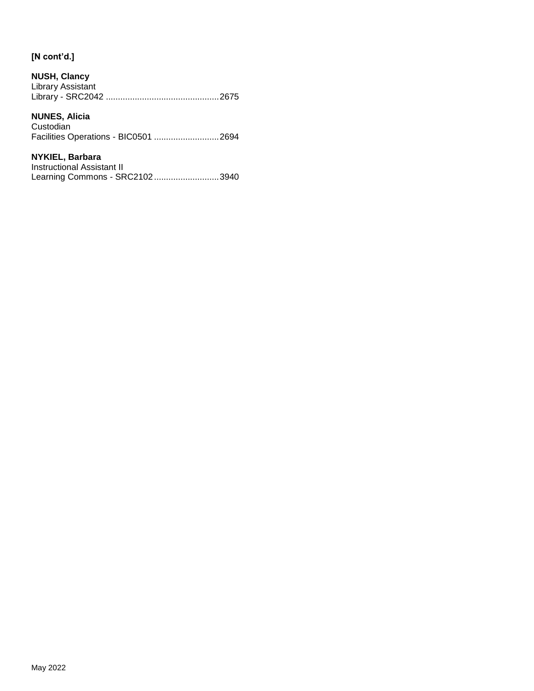| <b>NUSH, Clancy</b> |  |
|---------------------|--|
| Library Assistant   |  |
|                     |  |

## **NUNES, Alicia**

Custodian Facilities Operations - BIC0501 ...........................2694

## **NYKIEL, Barbara**

| Instructional Assistant II     |  |
|--------------------------------|--|
| Learning Commons - SRC21023940 |  |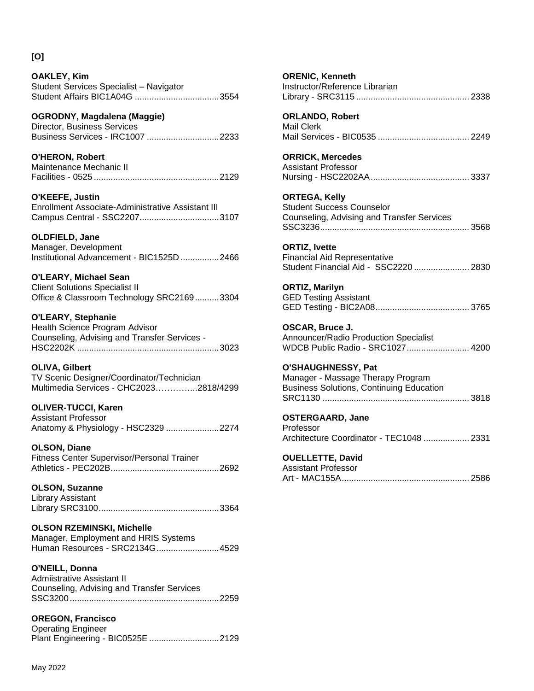## **[O]**

**OAKLEY, Kim** Student Services Specialist – Navigator Student Affairs BIC1A04G ...................................3554

**OGRODNY, Magdalena (Maggie)** Director, Business Services Business Services - IRC1007 ..............................2233

**O'HERON, Robert** Maintenance Mechanic II Facilities - 0525 ....................................................2129

**O'KEEFE, Justin** Enrollment Associate-Administrative Assistant III Campus Central - SSC2207.................................3107

**OLDFIELD, Jane**

Manager, Development Institutional Advancement - BIC1525D ................2466

**O'LEARY, Michael Sean** Client Solutions Specialist II Office & Classroom Technology SRC2169..........3304

**O'LEARY, Stephanie** Health Science Program Advisor Counseling, Advising and Transfer Services - HSC2202K ...........................................................3023

**OLIVA, Gilbert** TV Scenic Designer/Coordinator/Technician Multimedia Services - CHC2023…………...2818/4299

**OLIVER-TUCCI, Karen** Assistant Professor Anatomy & Physiology - HSC2329 ......................2274

**OLSON, Diane** Fitness Center Supervisor/Personal Trainer Athletics - PEC202B.............................................2692

**OLSON, Suzanne** Library Assistant Library SRC3100..................................................3364

**OLSON RZEMINSKI, Michelle** Manager, Employment and HRIS Systems Human Resources - SRC2134G..........................4529

**O'NEILL, Donna** Admiistrative Assistant II Counseling, Advising and Transfer Services SSC3200..............................................................2259

**OREGON, Francisco** Operating Engineer Plant Engineering - BIC0525E .............................2129 **ORENIC, Kenneth** Instructor/Reference Librarian Library - SRC3115 ............................................... 2338 **ORLANDO, Robert** Mail Clerk Mail Services - BIC0535 ...................................... 2249 **ORRICK, Mercedes** Assistant Professor Nursing - HSC2202AA......................................... 3337 **ORTEGA, Kelly** Student Success Counselor Counseling, Advising and Transfer Services SSC3236.............................................................. 3568 **ORTIZ, Ivette** Financial Aid Representative Student Financial Aid - SSC2220 ....................... 2830 **ORTIZ, Marilyn** GED Testing Assistant GED Testing - BIC2A08....................................... 3765 **OSCAR, Bruce J.** Announcer/Radio Production Specialist WDCB Public Radio - SRC1027.......................... 4200 **O'SHAUGHNESSY, Pat** Manager - Massage Therapy Program Business Solutions, Continuing Education SRC1130 ............................................................. 3818 **OSTERGAARD, Jane** Professor Architecture Coordinator - TEC1048 ................... 2331 **OUELLETTE, David** Assistant Professor

Art - MAC155A..................................................... 2586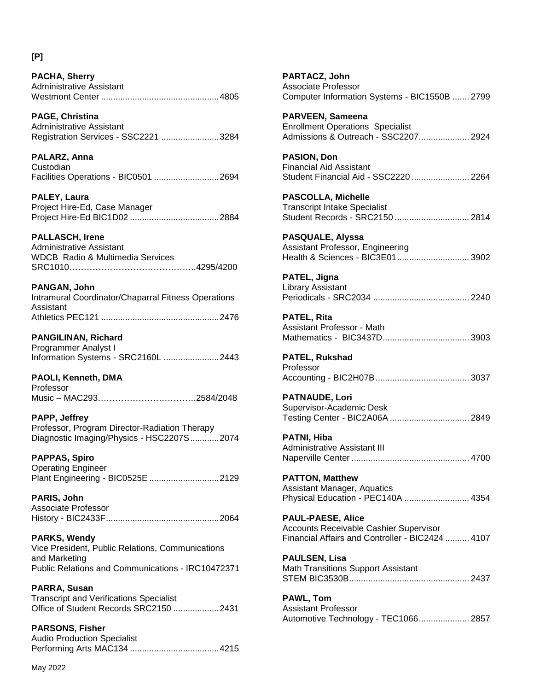## **[P]**

**PACHA, Sherry** Administrative Assistant Westmont Center .................................................4805

**PAGE, Christina** Administrative Assistant Registration Services - SSC2221 ........................3284

**PALARZ, Anna Custodian** Facilities Operations - BIC0501 ...........................2694

**PALEY, Laura** Project Hire-Ed, Case Manager Project Hire-Ed BIC1D02 .....................................2884

## **PALLASCH, Irene**

Administrative Assistant WDCB Radio & Multimedia Services SRC1010……………………………………..4295/4200

### **PANGAN, John**

Intramural Coordinator/Chaparral Fitness Operations Assistant Athletics PEC121 .................................................2476

**PANGILINAN, Richard** Programmer Analyst I Information Systems - SRC2160L .......................2443

**PAOLI, Kenneth, DMA** Professor Music – MAC293…………………………….2584/2048

**PAPP, Jeffrey** Professor, Program Director-Radiation Therapy Diagnostic Imaging/Physics - HSC2207S............2074

**PAPPAS, Spiro** Operating Engineer Plant Engineering - BIC0525E .............................2129

**PARIS, John** Associate Professor History - BIC2433F...............................................2064

**PARKS, Wendy** Vice President, Public Relations, Communications and Marketing Public Relations and Communications - IRC10472371

**PARRA, Susan**

Transcript and Verifications Specialist Office of Student Records SRC2150 ...................2431

**PARSONS, Fisher** Audio Production Specialist Performing Arts MAC134 .....................................4215 **PARTACZ, John** Associate Professor Computer Information Systems - BIC1550B ....... 2799

**PARVEEN, Sameena** Enrollment Operations Specialist Admissions & Outreach - SSC2207..................... 2924

**PASION, Don** Financial Aid Assistant Student Financial Aid - SSC2220 ........................ 2264

**PASCOLLA, Michelle** Transcript Intake Specialist Student Records - SRC2150 ............................... 2814

**PASQUALE, Alyssa** Assistant Professor, Engineering Health & Sciences - BIC3E01.............................. 3902

**PATEL, Jigna** Library Assistant Periodicals - SRC2034 ........................................ 2240

**PATEL, Rita** Assistant Professor - Math Mathematics - BIC3437D.................................... 3903

**PATEL, Rukshad** Professor Accounting - BIC2H07B....................................... 3037

**PATNAUDE, Lori** Supervisor-Academic Desk Testing Center - BIC2A06A ................................. 2849

**PATNI, Hiba** Administrative Assistant III Naperville Center ................................................. 4700

**PATTON, Matthew** Assistant Manager, Aquatics Physical Education - PEC140A ........................... 4354

**PAUL-PAESE, Alice** Accounts Receivable Cashier Supervisor Financial Affairs and Controller - BIC2424 .......... 4107

**PAULSEN, Lisa** Math Transitions Support Assistant STEM BIC3530B.................................................. 2437

**PAWL, Tom** Assistant Professor Automotive Technology - TEC1066..................... 2857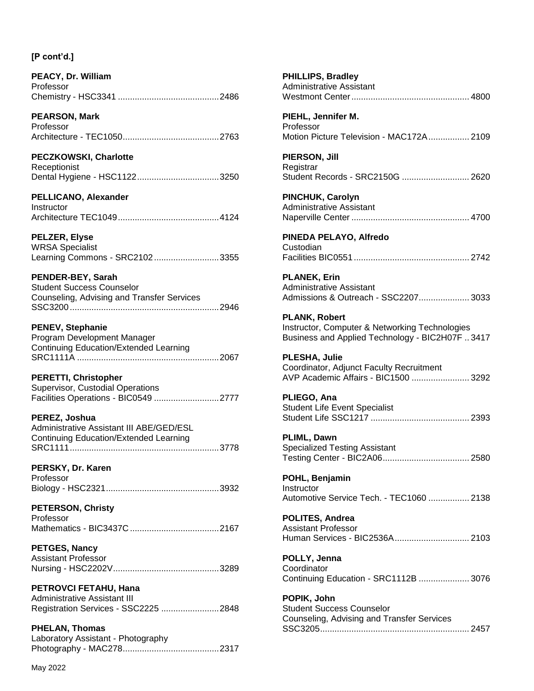| PEACY, Dr. William |  |
|--------------------|--|
| Professor          |  |
|                    |  |

**PEARSON, Mark** Professor Architecture - TEC1050........................................2763

**PECZKOWSKI, Charlotte Receptionist** Dental Hygiene - HSC1122..................................3250

**PELLICANO, Alexander Instructor** Architecture TEC1049..........................................4124

**PELZER, Elyse** WRSA Specialist

Learning Commons - SRC2102...........................3355

**PENDER-BEY, Sarah** Student Success Counselor Counseling, Advising and Transfer Services SSC3200..............................................................2946

### **PENEV, Stephanie**

Program Development Manager Continuing Education/Extended Learning SRC1111A ...........................................................2067

**PERETTI, Christopher** Supervisor, Custodial Operations Facilities Operations - BIC0549 ...........................2777

#### **PEREZ, Joshua**

| Administrative Assistant III ABE/GED/ESL      |  |
|-----------------------------------------------|--|
| <b>Continuing Education/Extended Learning</b> |  |
|                                               |  |

**PERSKY, Dr. Karen**

Professor Biology - HSC2321...............................................3932

**PETERSON, Christy** Professor Mathematics - BIC3437C .....................................2167

**PETGES, Nancy** Assistant Professor Nursing - HSC2202V............................................3289

**PETROVCI FETAHU, Hana** Administrative Assistant III Registration Services - SSC2225 ........................2848

**PHELAN, Thomas** Laboratory Assistant - Photography Photography - MAC278........................................2317 **PHILLIPS, Bradley** Administrative Assistant Westmont Center................................................. 4800 **PIEHL, Jennifer M.** Professor Motion Picture Television - MAC172A................. 2109 **PIERSON, Jill Registrar** Student Records - SRC2150G ............................ 2620 **PINCHUK, Carolyn** Administrative Assistant Naperville Center ................................................. 4700 **PINEDA PELAYO, Alfredo** Custodian Facilities BIC0551................................................ 2742 **PLANEK, Erin** Administrative Assistant Admissions & Outreach - SSC2207..................... 3033 **PLANK, Robert** Instructor, Computer & Networking Technologies Business and Applied Technology - BIC2H07F .. 3417 **PLESHA, Julie** Coordinator, Adjunct Faculty Recruitment AVP Academic Affairs - BIC1500 ........................ 3292 **PLIEGO, Ana** Student Life Event Specialist Student Life SSC1217 ......................................... 2393 **PLIML, Dawn** Specialized Testing Assistant Testing Center - BIC2A06.................................... 2580 **POHL, Benjamin Instructor** Automotive Service Tech. - TEC1060 ................. 2138 **POLITES, Andrea** Assistant Professor Human Services - BIC2536A............................... 2103 **POLLY, Jenna Coordinator** Continuing Education - SRC1112B ..................... 3076 **POPIK, John** Student Success Counselor Counseling, Advising and Transfer Services SSC3205.............................................................. 2457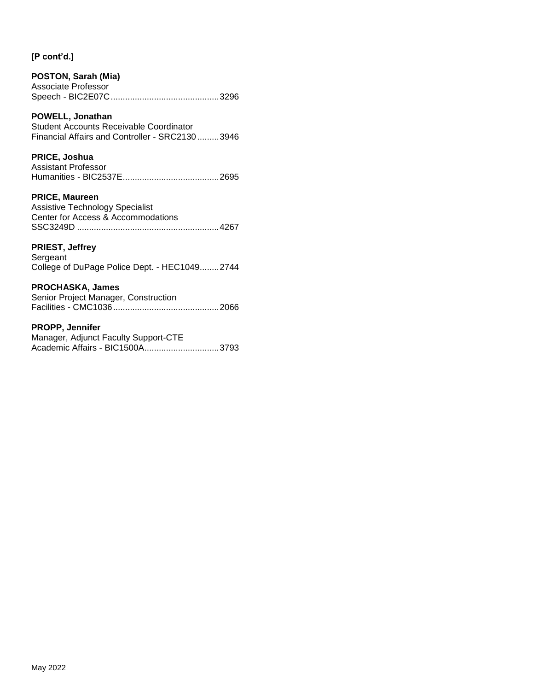| <b>POSTON, Sarah (Mia)</b> |  |
|----------------------------|--|
| Associate Professor        |  |
|                            |  |

## **POWELL, Jonathan**

Student Accounts Receivable Coordinator Financial Affairs and Controller - SRC2130 .........3946

## **PRICE, Joshua**

| <b>Assistant Professor</b> |  |
|----------------------------|--|
|                            |  |

## **PRICE, Maureen**

Assistive Technology Specialist Center for Access & Accommodations SSC3249D ...........................................................4267

## **PRIEST, Jeffrey**

Sergeant College of DuPage Police Dept. - HEC1049........2744

## **PROCHASKA, James**

Senior Project Manager, Construction Facilities - CMC1036............................................2066

### **PROPP, Jennifer**

| Manager, Adjunct Faculty Support-CTE |  |
|--------------------------------------|--|
|                                      |  |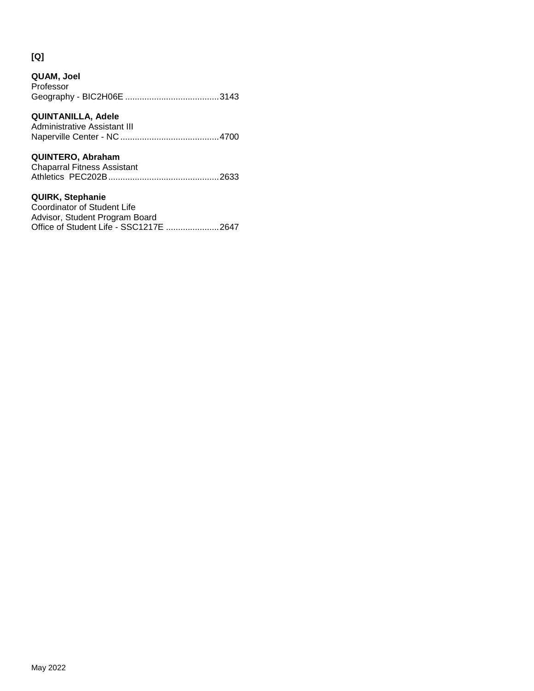# **[Q]**

| QUAM, Joel<br>Professor                                                                  |
|------------------------------------------------------------------------------------------|
| QUINTANILLA, Adele<br>Administrative Assistant III                                       |
| <b>QUINTERO, Abraham</b><br><b>Chaparral Fitness Assistant</b>                           |
| <b>QUIRK, Stephanie</b><br>Coordinator of Student Life<br>Advisor, Student Program Board |

Office of Student Life - SSC1217E ......................2647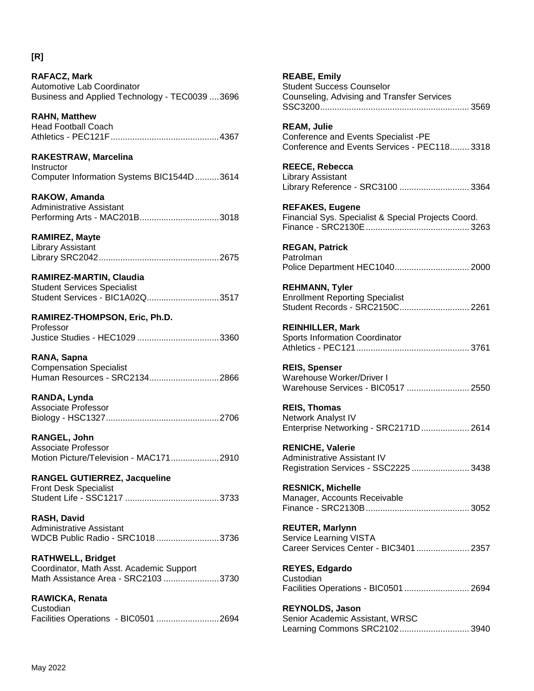**RAFACZ, Mark** Automotive Lab Coordinator Business and Applied Technology - TEC0039 ....3696

**RAHN, Matthew** Head Football Coach Athletics - PEC121F.............................................4367

**RAKESTRAW, Marcelina Instructor** Computer Information Systems BIC1544D..........3614

**RAKOW, Amanda** Administrative Assistant Performing Arts - MAC201B.................................3018

**RAMIREZ, Mayte**

Library Assistant Library SRC2042..................................................2675

**RAMIREZ-MARTIN, Claudia** Student Services Specialist Student Services - BIC1A02Q..............................3517

**RAMIREZ-THOMPSON, Eric, Ph.D.** Professor Justice Studies - HEC1029 ..................................3360

**RANA, Sapna** Compensation Specialist Human Resources - SRC2134.............................2866

**RANDA, Lynda** Associate Professor Biology - HSC1327...............................................2706

**RANGEL, John** Associate Professor Motion Picture/Television - MAC171....................2910

**RANGEL GUTIERREZ, Jacqueline** Front Desk Specialist Student Life - SSC1217 .......................................3733

**RASH, David** Administrative Assistant WDCB Public Radio - SRC1018 ..........................3736

**RATHWELL, Bridget** Coordinator, Math Asst. Academic Support Math Assistance Area - SRC2103 .......................3730

**RAWICKA, Renata Custodian** Facilities Operations - BIC0501 ..........................2694 **REABE, Emily** Student Success Counselor Counseling, Advising and Transfer Services SSC3200.............................................................. 3569

**REAM, Julie** Conference and Events Specialist -PE Conference and Events Services - PEC118........ 3318

**REECE, Rebecca** Library Assistant Library Reference - SRC3100 ............................. 3364

**REFAKES, Eugene** Financial Sys. Specialist & Special Projects Coord. Finance - SRC2130E........................................... 3263

**REGAN, Patrick** Patrolman Police Department HEC1040............................... 2000

**REHMANN, Tyler** Enrollment Reporting Specialist Student Records - SRC2150C............................. 2261

**REINHILLER, Mark** Sports Information Coordinator Athletics - PEC121............................................... 3761

**REIS, Spenser** Warehouse Worker/Driver I Warehouse Services - BIC0517 .......................... 2550

**REIS, Thomas** Network Analyst IV Enterprise Networking - SRC2171D.................... 2614

**RENICHE, Valerie** Administrative Assistant IV Registration Services - SSC2225 ........................ 3438

**RESNICK, Michelle** Manager, Accounts Receivable Finance - SRC2130B........................................... 3052

**REUTER, Marlynn** Service Learning VISTA Career Services Center - BIC3401...................... 2357

**REYES, Edgardo** Custodian Facilities Operations - BIC0501 ........................... 2694

**REYNOLDS, Jason** Senior Academic Assistant, WRSC Learning Commons SRC2102............................. 3940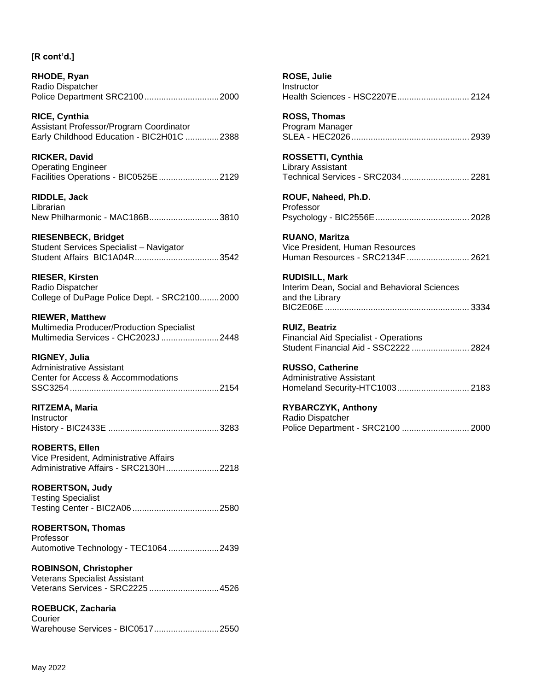**RHODE, Ryan** Radio Dispatcher Police Department SRC2100...............................2000

**RICE, Cynthia** Assistant Professor/Program Coordinator Early Childhood Education - BIC2H01C ..............2388

**RICKER, David** Operating Engineer Facilities Operations - BIC0525E.........................2129

**RIDDLE, Jack** Librarian New Philharmonic - MAC186B.............................3810

## **RIESENBECK, Bridget**

Student Services Specialist – Navigator Student Affairs BIC1A04R...................................3542

**RIESER, Kirsten** Radio Dispatcher College of DuPage Police Dept. - SRC2100........2000

**RIEWER, Matthew** Multimedia Producer/Production Specialist Multimedia Services - CHC2023J ........................2448

## **RIGNEY, Julia**

Administrative Assistant Center for Access & Accommodations SSC3254..............................................................2154

## **RITZEMA, Maria**

Instructor History - BIC2433E ..............................................3283

**ROBERTS, Ellen** Vice President, Administrative Affairs Administrative Affairs - SRC2130H......................2218

**ROBERTSON, Judy** Testing Specialist Testing Center - BIC2A06 ....................................2580

**ROBERTSON, Thomas** Professor Automotive Technology - TEC1064 .....................2439

**ROBINSON, Christopher** Veterans Specialist Assistant Veterans Services - SRC2225 .............................4526

**ROEBUCK, Zacharia**

Courier Warehouse Services - BIC0517...........................2550

| ROSE, Julie<br>Instructor<br>Health Sciences - HSC2207E 2124                                                  |  |
|---------------------------------------------------------------------------------------------------------------|--|
| <b>ROSS, Thomas</b><br>Program Manager                                                                        |  |
| ROSSETTI, Cynthia<br>Library Assistant<br>Technical Services - SRC2034 2281                                   |  |
| ROUF, Naheed, Ph.D.<br>Professor                                                                              |  |
| <b>RUANO, Maritza</b><br>Vice President, Human Resources<br>Human Resources - SRC2134F  2621                  |  |
| <b>RUDISILL, Mark</b><br>Interim Dean, Social and Behavioral Sciences<br>and the Library                      |  |
| <b>RUIZ, Beatriz</b><br><b>Financial Aid Specialist - Operations</b><br>Student Financial Aid - SSC2222  2824 |  |
| <b>RUSSO, Catherine</b><br><b>Administrative Assistant</b><br>Homeland Security-HTC1003 2183                  |  |
| RYBARCZYK, Anthony<br>Radio Dispatcher<br>Police Department - SRC2100  2000                                   |  |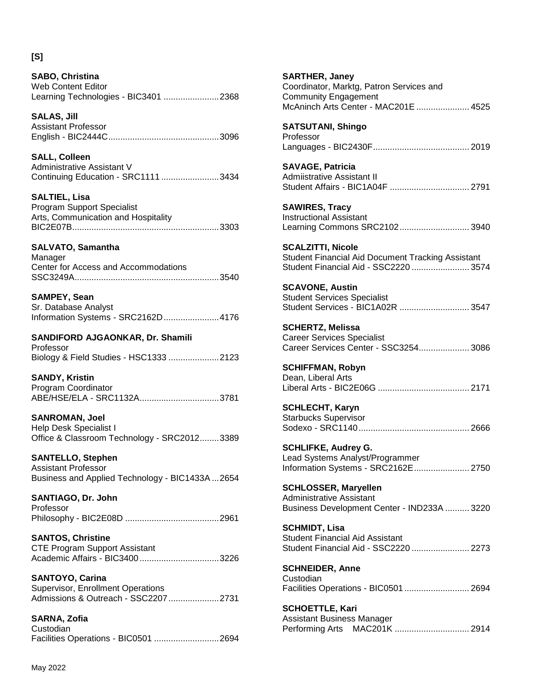## **[S]**

**SABO, Christina** Web Content Editor Learning Technologies - BIC3401 .......................2368

**SALAS, Jill** Assistant Professor English - BIC2444C..............................................3096

**SALL, Colleen** Administrative Assistant V Continuing Education - SRC1111 ........................3434

**SALTIEL, Lisa** Program Support Specialist Arts, Communication and Hospitality BIC2E07B.............................................................3303

**SALVATO, Samantha**

Manager Center for Access and Accommodations SSC3249A............................................................3540

**SAMPEY, Sean**

| Sr. Database Analyst               |  |
|------------------------------------|--|
| Information Systems - SRC2162D4176 |  |

**SANDIFORD AJGAONKAR, Dr. Shamili**

Professor Biology & Field Studies - HSC1333 .....................2123

**SANDY, Kristin** Program Coordinator ABE/HSE/ELA - SRC1132A.................................3781

**SANROMAN, Joel** Help Desk Specialist I Office & Classroom Technology - SRC2012........3389

**SANTELLO, Stephen** Assistant Professor Business and Applied Technology - BIC1433A ...2654

**SANTIAGO, Dr. John** Professor Philosophy - BIC2E08D .......................................2961

**SANTOS, Christine** CTE Program Support Assistant Academic Affairs - BIC3400.................................3226

**SANTOYO, Carina** Supervisor, Enrollment Operations Admissions & Outreach - SSC2207.....................2731

**SARNA, Zofia** Custodian Facilities Operations - BIC0501 ...........................2694 **SARTHER, Janey** Coordinator, Marktg, Patron Services and Community Engagement McAninch Arts Center - MAC201E ...................... 4525 **SATSUTANI, Shingo** Professor Languages - BIC2430F........................................ 2019 **SAVAGE, Patricia** Admiistrative Assistant II Student Affairs - BIC1A04F ................................. 2791 **SAWIRES, Tracy** Instructional Assistant Learning Commons SRC2102............................. 3940 **SCALZITTI, Nicole** Student Financial Aid Document Tracking Assistant Student Financial Aid - SSC2220 ........................ 3574 **SCAVONE, Austin** Student Services Specialist Student Services - BIC1A02R ............................. 3547 **SCHERTZ, Melissa** Career Services Specialist Career Services Center - SSC3254..................... 3086 **SCHIFFMAN, Robyn** Dean, Liberal Arts Liberal Arts - BIC2E06G ...................................... 2171 **SCHLECHT, Karyn** Starbucks Supervisor Sodexo - SRC1140.............................................. 2666 **SCHLIFKE, Audrey G.** Lead Systems Analyst/Programmer Information Systems - SRC2162E....................... 2750 **SCHLOSSER, Maryellen** Administrative Assistant Business Development Center - IND233A .......... 3220 **SCHMIDT, Lisa** Student Financial Aid Assistant Student Financial Aid - SSC2220 ........................ 2273 **SCHNEIDER, Anne** Custodian Facilities Operations - BIC0501 ........................... 2694 **SCHOETTLE, Kari** Assistant Business Manager Performing Arts MAC201K ............................... 2914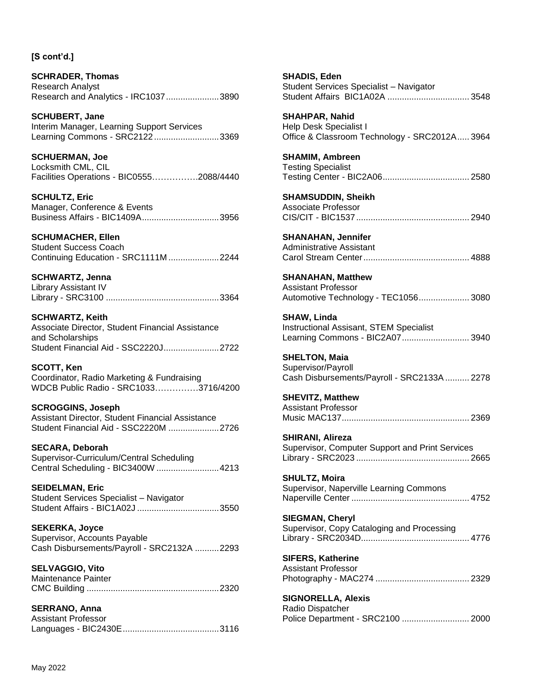**SCHRADER, Thomas** Research Analyst Research and Analytics - IRC1037......................3890

**SCHUBERT, Jane** Interim Manager, Learning Support Services Learning Commons - SRC2122...........................3369

**SCHUERMAN, Joe** Locksmith CML, CIL Facilities Operations - BIC0555…………….2088/4440

**SCHULTZ, Eric** Manager, Conference & Events Business Affairs - BIC1409A................................3956

### **SCHUMACHER, Ellen**

Student Success Coach Continuing Education - SRC1111M .....................2244

**SCHWARTZ, Jenna** Library Assistant IV Library - SRC3100 ...............................................3364

**SCHWARTZ, Keith** Associate Director, Student Financial Assistance and Scholarships Student Financial Aid - SSC2220J.......................2722

**SCOTT, Ken** Coordinator, Radio Marketing & Fundraising WDCB Public Radio - SRC1033……………3716/4200

**SCROGGINS, Joseph** Assistant Director, Student Financial Assistance Student Financial Aid - SSC2220M .....................2726

**SECARA, Deborah** Supervisor-Curriculum/Central Scheduling Central Scheduling - BIC3400W ..........................4213

**SEIDELMAN, Eric** Student Services Specialist – Navigator Student Affairs - BIC1A02J ..................................3550

**SEKERKA, Joyce** Supervisor, Accounts Payable Cash Disbursements/Payroll - SRC2132A ..........2293

**SELVAGGIO, Vito** Maintenance Painter CMC Building .......................................................2320

**SERRANO, Anna** Assistant Professor Languages - BIC2430E........................................3116 **SHADIS, Eden** Student Services Specialist – Navigator Student Affairs BIC1A02A .................................. 3548

**SHAHPAR, Nahid** Help Desk Specialist I Office & Classroom Technology - SRC2012A..... 3964

**SHAMIM, Ambreen** Testing Specialist Testing Center - BIC2A06.................................... 2580

**SHAMSUDDIN, Sheikh** Associate Professor CIS/CIT - BIC1537............................................... 2940

**SHANAHAN, Jennifer** Administrative Assistant Carol Stream Center............................................ 4888

**SHANAHAN, Matthew** Assistant Professor Automotive Technology - TEC1056..................... 3080

**SHAW, Linda** Instructional Assisant, STEM Specialist Learning Commons - BIC2A07............................ 3940

**SHELTON, Maia** Supervisor/Payroll Cash Disbursements/Payroll - SRC2133A .......... 2278

**SHEVITZ, Matthew** Assistant Professor Music MAC137..................................................... 2369

**SHIRANI, Alireza** Supervisor, Computer Support and Print Services Library - SRC2023 ............................................... 2665

**SHULTZ, Moira** Supervisor, Naperville Learning Commons Naperville Center ................................................. 4752

**SIEGMAN, Cheryl** Supervisor, Copy Cataloging and Processing Library - SRC2034D............................................. 4776

**SIFERS, Katherine** Assistant Professor Photography - MAC274 ....................................... 2329

**SIGNORELLA, Alexis** Radio Dispatcher Police Department - SRC2100 ............................ 2000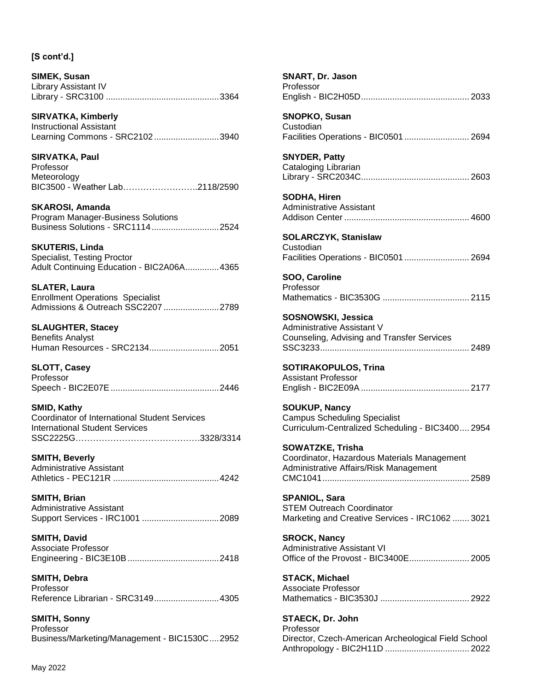**SIRVATKA, Kimberly** Instructional Assistant Learning Commons - SRC2102...........................3940

**SIRVATKA, Paul** Professor Meteorology BIC3500 - Weather Lab……………………..2118/2590

**SKAROSI, Amanda** Program Manager-Business Solutions Business Solutions - SRC1114............................2524

**SKUTERIS, Linda** Specialist, Testing Proctor Adult Continuing Education - BIC2A06A..............4365

**SLATER, Laura** Enrollment Operations Specialist Admissions & Outreach SSC2207 .......................2789

**SLAUGHTER, Stacey** Benefits Analyst Human Resources - SRC2134.............................2051

**SLOTT, Casey** Professor Speech - BIC2E07E.............................................2446

**SMID, Kathy** Coordinator of International Student Services International Student Services SSC2225G…………………………………….3328/3314

**SMITH, Beverly** Administrative Assistant Athletics - PEC121R ............................................4242

**SMITH, Brian** Administrative Assistant Support Services - IRC1001 ................................2089

**SMITH, David** Associate Professor Engineering - BIC3E10B......................................2418

**SMITH, Debra** Professor Reference Librarian - SRC3149...........................4305

**SMITH, Sonny** Professor Business/Marketing/Management - BIC1530C....2952

| Professor                                                                                                        |
|------------------------------------------------------------------------------------------------------------------|
| <b>SNOPKO, Susan</b><br>Custodian<br>Facilities Operations - BIC0501  2694                                       |
| <b>SNYDER, Patty</b><br>Cataloging Librarian                                                                     |
| <b>SODHA, Hiren</b><br><b>Administrative Assistant</b>                                                           |
| <b>SOLARCZYK, Stanislaw</b><br>Custodian<br>Facilities Operations - BIC0501  2694                                |
| SOO, Caroline<br>Professor                                                                                       |
| <b>SOSNOWSKI, Jessica</b><br>Administrative Assistant V<br>Counseling, Advising and Transfer Services            |
| <b>SOTIRAKOPULOS, Trina</b><br><b>Assistant Professor</b>                                                        |
| <b>SOUKUP, Nancy</b><br><b>Campus Scheduling Specialist</b><br>Curriculum-Centralized Scheduling - BIC3400 2954  |
| <b>SOWATZKE, Trisha</b><br>Coordinator, Hazardous Materials Management<br>Administrative Affairs/Risk Management |
| <b>SPANIOL, Sara</b><br><b>STEM Outreach Coordinator</b><br>Marketing and Creative Services - IRC1062  3021      |
| <b>SROCK, Nancy</b><br><b>Administrative Assistant VI</b><br>Office of the Provost - BIC3400E 2005               |
| <b>STACK, Michael</b><br><b>Associate Professor</b>                                                              |
| <b>STAECK, Dr. John</b><br>Professor                                                                             |

**SNART, Dr. Jason**

Professor Director, Czech-American Archeological Field School Anthropology - BIC2H11D ................................... 2022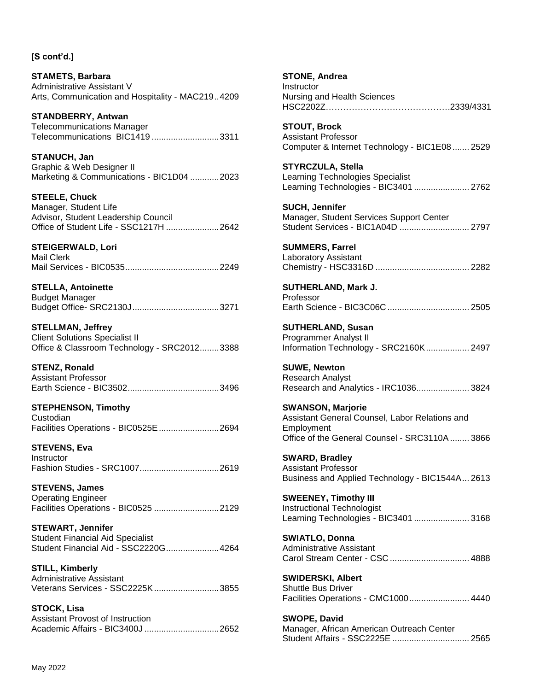**STAMETS, Barbara** Administrative Assistant V Arts, Communication and Hospitality - MAC219..4209

**STANDBERRY, Antwan** Telecommunications Manager Telecommunications BIC1419 ............................3311

**STANUCH, Jan** Graphic & Web Designer II Marketing & Communications - BIC1D04 ............2023

**STEELE, Chuck** Manager, Student Life Advisor, Student Leadership Council Office of Student Life - SSC1217H ......................2642

**STEIGERWALD, Lori** Mail Clerk Mail Services - BIC0535.......................................2249

**STELLA, Antoinette** Budget Manager Budget Office- SRC2130J....................................3271

**STELLMAN, Jeffrey** Client Solutions Specialist II Office & Classroom Technology - SRC2012........3388

**STENZ, Ronald** Assistant Professor Earth Science - BIC3502......................................3496

**STEPHENSON, Timothy Custodian** Facilities Operations - BIC0525E.........................2694

**STEVENS, Eva** Instructor Fashion Studies - SRC1007.................................2619

**STEVENS, James** Operating Engineer Facilities Operations - BIC0525 ...........................2129

**STEWART, Jennifer** Student Financial Aid Specialist Student Financial Aid - SSC2220G......................4264

**STILL, Kimberly** Administrative Assistant Veterans Services - SSC2225K...........................3855

**STOCK, Lisa** Assistant Provost of Instruction Academic Affairs - BIC3400J ...............................2652 **STONE, Andrea** Instructor Nursing and Health Sciences HSC2202Z…………………………………….2339/4331 **STOUT, Brock** Assistant Professor Computer & Internet Technology - BIC1E08 ....... 2529 **STYRCZULA, Stella** Learning Technologies Specialist Learning Technologies - BIC3401 ....................... 2762 **SUCH, Jennifer** Manager, Student Services Support Center Student Services - BIC1A04D ............................. 2797 **SUMMERS, Farrel** Laboratory Assistant Chemistry - HSC3316D ....................................... 2282

**SUTHERLAND, Mark J.** Professor Earth Science - BIC3C06C .................................. 2505

**SUTHERLAND, Susan** Programmer Analyst II Information Technology - SRC2160K.................. 2497

**SUWE, Newton** Research Analyst Research and Analytics - IRC1036...................... 3824

**SWANSON, Marjorie** Assistant General Counsel, Labor Relations and Employment Office of the General Counsel - SRC3110A........ 3866

**SWARD, Bradley** Assistant Professor Business and Applied Technology - BIC1544A... 2613

**SWEENEY, Timothy III** Instructional Technologist Learning Technologies - BIC3401 ....................... 3168

**SWIATLO, Donna** Administrative Assistant Carol Stream Center - CSC ................................. 4888

**SWIDERSKI, Albert** Shuttle Bus Driver Facilities Operations - CMC1000......................... 4440

**SWOPE, David** Manager, African American Outreach Center Student Affairs - SSC2225E ................................ 2565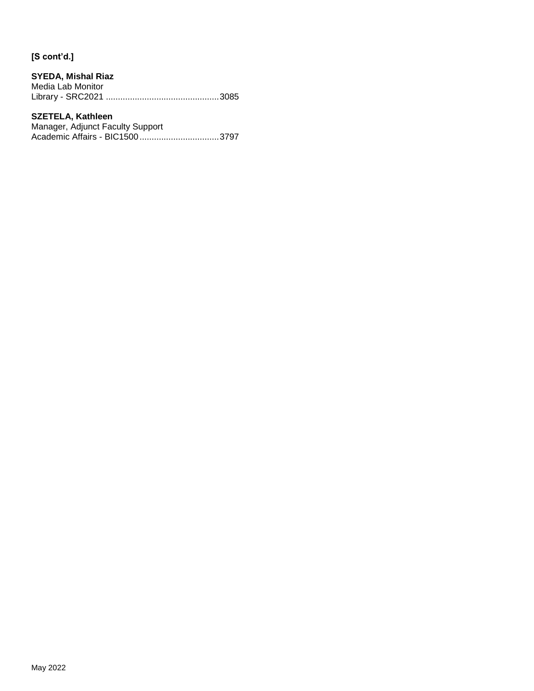### **SYEDA, Mishal Riaz**

Media Lab Monitor Library - SRC2021 ...............................................3085

## **SZETELA, Kathleen**

Manager, Adjunct Faculty Support Academic Affairs - BIC1500.................................3797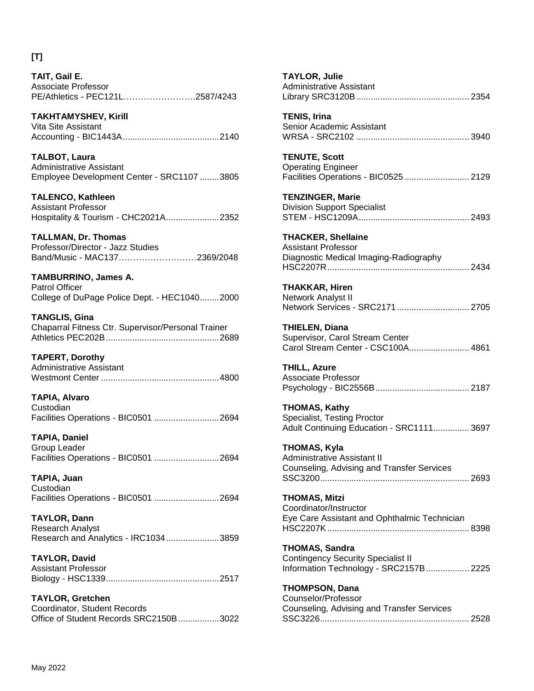# **[T]**

**TAIT, Gail E.** Associate Professor PE/Athletics - PEC121L…………………….2587/4243

**TAKHTAMYSHEV, Kirill** Vita Site Assistant Accounting - BIC1443A........................................2140

**TALBOT, Laura** Administrative Assistant Employee Development Center - SRC1107 ........3805

**TALENCO, Kathleen** Assistant Professor Hospitality & Tourism - CHC2021A......................2352

**TALLMAN, Dr. Thomas** Professor/Director - Jazz Studies Band/Music - MAC137………………………2369/2048

**TAMBURRINO, James A.** Patrol Officer College of DuPage Police Dept. - HEC1040........2000

**TANGLIS, Gina** Chaparral Fitness Ctr. Supervisor/Personal Trainer Athletics PEC202B...............................................2689

**TAPERT, Dorothy** Administrative Assistant Westmont Center .................................................4800

**TAPIA, Alvaro Custodian** Facilities Operations - BIC0501 ...........................2694

**TAPIA, Daniel** Group Leader Facilities Operations - BIC0501 ...........................2694

**TAPIA, Juan Custodian** Facilities Operations - BIC0501 ...........................2694

**TAYLOR, Dann** Research Analyst Research and Analytics - IRC1034......................3859

**TAYLOR, David** Assistant Professor Biology - HSC1339...............................................2517

**TAYLOR, Gretchen** Coordinator, Student Records Office of Student Records SRC2150B.................3022

| <b>TAYLOR, Julie</b><br><b>Administrative Assistant</b>                                                      |
|--------------------------------------------------------------------------------------------------------------|
| <b>TENIS, Irina</b><br>Senior Academic Assistant                                                             |
| <b>TENUTE, Scott</b><br><b>Operating Engineer</b><br>Facilities Operations - BIC0525  2129                   |
| <b>TENZINGER, Marie</b><br><b>Division Support Specialist</b>                                                |
| <b>THACKER, Shellaine</b><br><b>Assistant Professor</b><br>Diagnostic Medical Imaging-Radiography            |
| <b>THAKKAR, Hiren</b><br>Network Analyst II<br>Network Services - SRC2171  2705                              |
| <b>THIELEN, Diana</b><br>Supervisor, Carol Stream Center<br>Carol Stream Center - CSC100A 4861               |
| <b>THILL, Azure</b><br><b>Associate Professor</b>                                                            |
| <b>THOMAS, Kathy</b><br>Specialist, Testing Proctor<br>Adult Continuing Education - SRC1111 3697             |
| <b>THOMAS, Kyla</b><br><b>Administrative Assistant II</b><br>Counseling, Advising and Transfer Services      |
| <b>THOMAS, Mitzi</b><br>Coordinator/Instructor<br>Eye Care Assistant and Ophthalmic Technician               |
| <b>THOMAS, Sandra</b><br><b>Contingency Security Specialist II</b><br>Information Technology - SRC2157B 2225 |
| <b>THOMPSON, Dana</b><br>Counselor/Professor<br>Counseling, Advising and Transfer Services                   |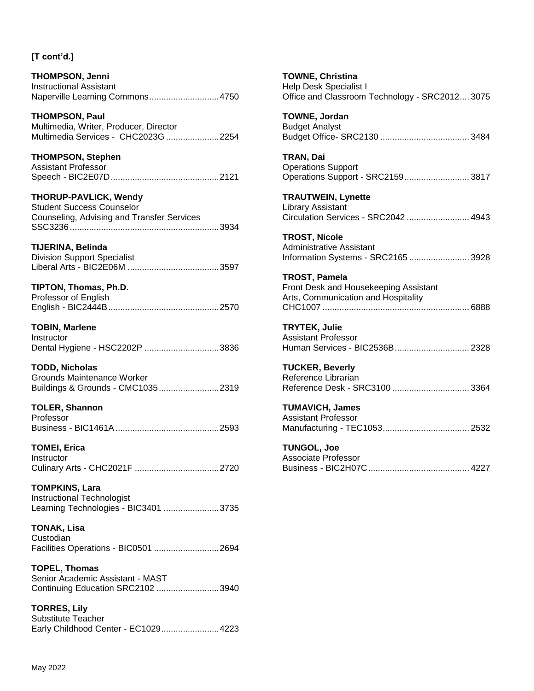**THOMPSON, Jenni** Instructional Assistant Naperville Learning Commons.............................4750

**THOMPSON, Paul** Multimedia, Writer, Producer, Director Multimedia Services - CHC2023G ......................2254

**THOMPSON, Stephen** Assistant Professor Speech - BIC2E07D.............................................2121

**THORUP-PAVLICK, Wendy** Student Success Counselor Counseling, Advising and Transfer Services SSC3236..............................................................3934

**TIJERINA, Belinda**

Division Support Specialist Liberal Arts - BIC2E06M ......................................3597

**TIPTON, Thomas, Ph.D.**

Professor of English English - BIC2444B..............................................2570

**TOBIN, Marlene** Instructor Dental Hygiene - HSC2202P ...............................3836

**TODD, Nicholas** Grounds Maintenance Worker Buildings & Grounds - CMC1035.........................2319

**TOLER, Shannon** Professor Business - BIC1461A...........................................2593

**TOMEI, Erica Instructor** Culinary Arts - CHC2021F ...................................2720

**TOMPKINS, Lara** Instructional Technologist Learning Technologies - BIC3401 .......................3735

**TONAK, Lisa** Custodian Facilities Operations - BIC0501 ...........................2694

**TOPEL, Thomas** Senior Academic Assistant - MAST Continuing Education SRC2102 ..........................3940

**TORRES, Lily** Substitute Teacher Early Childhood Center - EC1029........................4223 **TOWNE, Christina** Help Desk Specialist I Office and Classroom Technology - SRC2012.... 3075

**TOWNE, Jordan** Budget Analyst Budget Office- SRC2130 ..................................... 3484

**TRAN, Dai** Operations Support Operations Support - SRC2159........................... 3817

**TRAUTWEIN, Lynette** Library Assistant Circulation Services - SRC2042 .......................... 4943

**TROST, Nicole** Administrative Assistant Information Systems - SRC2165 ......................... 3928

**TROST, Pamela** Front Desk and Housekeeping Assistant Arts, Communication and Hospitality CHC1007 ............................................................. 6888

**TRYTEK, Julie** Assistant Professor Human Services - BIC2536B............................... 2328

**TUCKER, Beverly** Reference Librarian Reference Desk - SRC3100 ................................ 3364

**TUMAVICH, James** Assistant Professor Manufacturing - TEC1053.................................... 2532

**TUNGOL, Joe** Associate Professor Business - BIC2H07C.......................................... 4227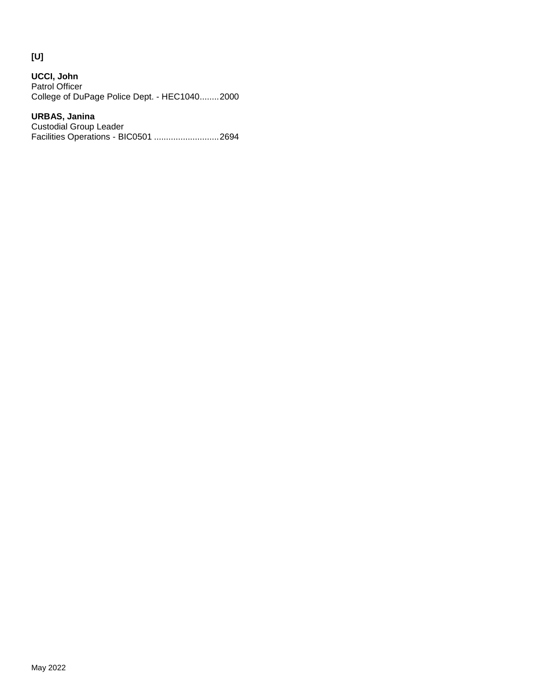# **[U]**

**UCCI, John** Patrol Officer College of DuPage Police Dept. - HEC1040........2000

## **URBAS, Janina**

Custodial Group Leader Facilities Operations - BIC0501 ...........................2694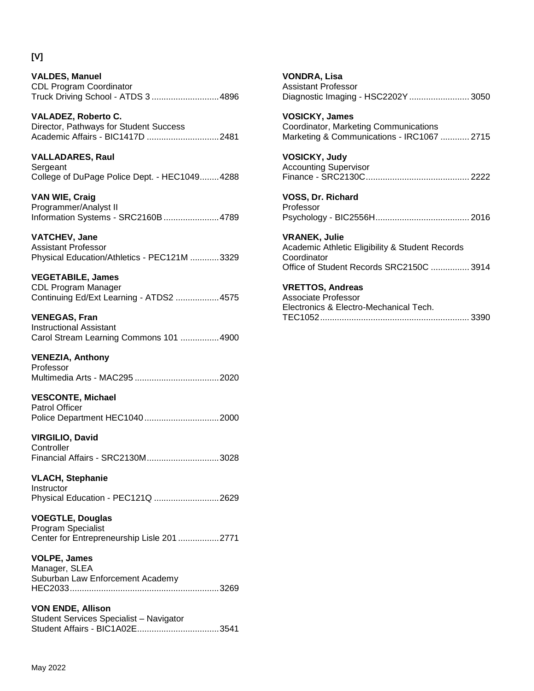## **[V]**

**VALDES, Manuel** CDL Program Coordinator Truck Driving School - ATDS 3 ............................4896

**VALADEZ, Roberto C.** Director, Pathways for Student Success Academic Affairs - BIC1417D ..............................2481

**VALLADARES, Raul** Sergeant College of DuPage Police Dept. - HEC1049........4288

**VAN WIE, Craig** Programmer/Analyst II Information Systems - SRC2160B.......................4789

**VATCHEV, Jane** Assistant Professor Physical Education/Athletics - PEC121M ............3329

**VEGETABILE, James** CDL Program Manager Continuing Ed/Ext Learning - ATDS2 ..................4575

**VENEGAS, Fran** Instructional Assistant Carol Stream Learning Commons 101 ................4900

**VENEZIA, Anthony** Professor Multimedia Arts - MAC295 ...................................2020

**VESCONTE, Michael** Patrol Officer Police Department HEC1040...............................2000

**VIRGILIO, David Controller** Financial Affairs - SRC2130M..............................3028

**VLACH, Stephanie** Instructor Physical Education - PEC121Q ...........................2629

**VOEGTLE, Douglas** Program Specialist Center for Entrepreneurship Lisle 201 .................2771

**VOLPE, James** Manager, SLEA Suburban Law Enforcement Academy HEC2033..............................................................3269

**VON ENDE, Allison** Student Services Specialist – Navigator Student Affairs - BIC1A02E..................................3541 **VONDRA, Lisa** Assistant Professor Diagnostic Imaging - HSC2202Y......................... 3050

**VOSICKY, James** Coordinator, Marketing Communications Marketing & Communications - IRC1067 ............ 2715

**VOSICKY, Judy** Accounting Supervisor Finance - SRC2130C........................................... 2222

**VOSS, Dr. Richard** Professor Psychology - BIC2556H....................................... 2016

**VRANEK, Julie** Academic Athletic Eligibility & Student Records **Coordinator** Office of Student Records SRC2150C ................ 3914

**VRETTOS, Andreas** Associate Professor Electronics & Electro-Mechanical Tech. TEC1052.............................................................. 3390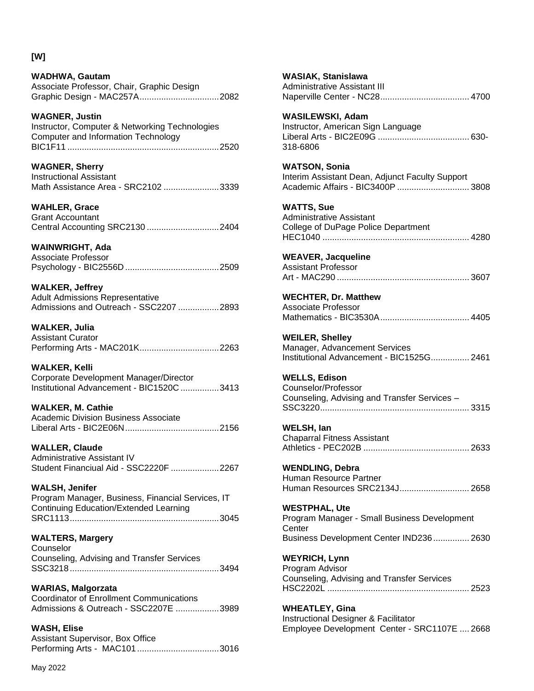## **[W]**

**WADHWA, Gautam** Associate Professor, Chair, Graphic Design Graphic Design - MAC257A.................................2082

**WAGNER, Justin**

Instructor, Computer & Networking Technologies Computer and Information Technology BIC1F11 ...............................................................2520

**WAGNER, Sherry** Instructional Assistant Math Assistance Area - SRC2102 .......................3339

**WAHLER, Grace** Grant Accountant Central Accounting SRC2130 ..............................2404

**WAINWRIGHT, Ada** Associate Professor Psychology - BIC2556D .......................................2509

**WALKER, Jeffrey** Adult Admissions Representative Admissions and Outreach - SSC2207 .................2893

**WALKER, Julia** Assistant Curator Performing Arts - MAC201K.................................2263

**WALKER, Kelli** Corporate Development Manager/Director Institutional Advancement - BIC1520C ................3413

**WALKER, M. Cathie** Academic Division Business Associate

Liberal Arts - BIC2E06N.......................................2156

**WALLER, Claude** Administrative Assistant IV Student Financiual Aid - SSC2220F ....................2267

**WALSH, Jenifer** Program Manager, Business, Financial Services, IT Continuing Education/Extended Learning SRC1113..............................................................3045

**WALTERS, Margery**

**Counselor** Counseling, Advising and Transfer Services SSC3218..............................................................3494

**WARIAS, Malgorzata** Coordinator of Enrollment Communications Admissions & Outreach - SSC2207E ..................3989

**WASH, Elise** Assistant Supervisor, Box Office Performing Arts - MAC101 ..................................3016 **WASIAK, Stanislawa** Administrative Assistant III Naperville Center - NC28..................................... 4700 **WASILEWSKI, Adam** Instructor, American Sign Language Liberal Arts - BIC2E09G ...................................... 630- 318-6806 **WATSON, Sonia** Interim Assistant Dean, Adjunct Faculty Support Academic Affairs - BIC3400P .............................. 3808 **WATTS, Sue** Administrative Assistant College of DuPage Police Department HEC1040 ............................................................. 4280 **WEAVER, Jacqueline** Assistant Professor Art - MAC290 ....................................................... 3607 **WECHTER, Dr. Matthew** Associate Professor Mathematics - BIC3530A..................................... 4405 **WEILER, Shelley** Manager, Advancement Services Institutional Advancement - BIC1525G................ 2461 **WELLS, Edison** Counselor/Professor Counseling, Advising and Transfer Services – SSC3220.............................................................. 3315 **WELSH, Ian** Chaparral Fitness Assistant Athletics - PEC202B ............................................ 2633 **WENDLING, Debra** Human Resource Partner Human Resources SRC2134J............................. 2658 **WESTPHAL, Ute** Program Manager - Small Business Development **Center** Business Development Center IND236............... 2630 **WEYRICH, Lynn** Program Advisor Counseling, Advising and Transfer Services HSC2202L ........................................................... 2523

**WHEATLEY, Gina** Instructional Designer & Facilitator Employee Development Center - SRC1107E .... 2668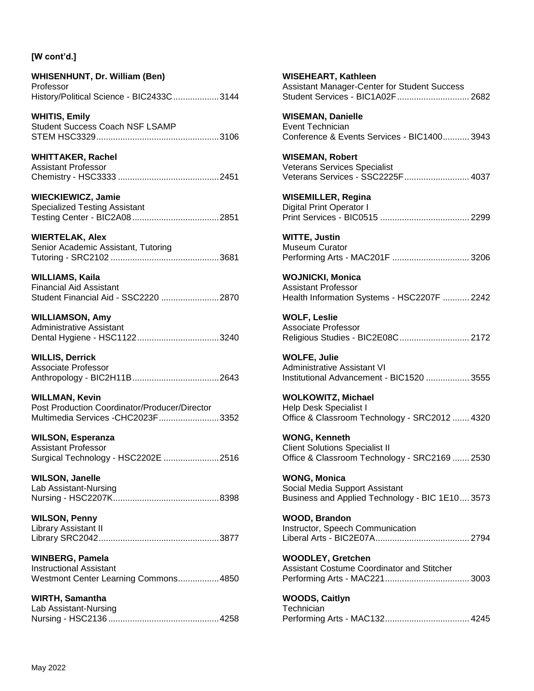**WHISENHUNT, Dr. William (Ben)** Professor History/Political Science - BIC2433C...................3144

**WHITIS, Emily** Student Success Coach NSF LSAMP STEM HSC3329...................................................3106

**WHITTAKER, Rachel** Assistant Professor Chemistry - HSC3333 ..........................................2451

**WIECKIEWICZ, Jamie** Specialized Testing Assistant Testing Center - BIC2A08 ....................................2851

**WIERTELAK, Alex** Senior Academic Assistant, Tutoring Tutoring - SRC2102 .............................................3681

**WILLIAMS, Kaila** Financial Aid Assistant Student Financial Aid - SSC2220 ........................2870

**WILLIAMSON, Amy** Administrative Assistant Dental Hygiene - HSC1122..................................3240

**WILLIS, Derrick** Associate Professor Anthropology - BIC2H11B....................................2643

**WILLMAN, Kevin** Post Production Coordinator/Producer/Director Multimedia Services -CHC2023F.........................3352

**WILSON, Esperanza** Assistant Professor Surgical Technology - HSC2202E .......................2516

**WILSON, Janelle** Lab Assistant-Nursing Nursing - HSC2207K............................................8398

**WILSON, Penny** Library Assistant II Library SRC2042..................................................3877

**WINBERG, Pamela** Instructional Assistant Westmont Center Learning Commons.................4850

**WIRTH, Samantha** Lab Assistant-Nursing Nursing - HSC2136 ..............................................4258 **WISEHEART, Kathleen** Assistant Manager-Center for Student Success Student Services - BIC1A02F.............................. 2682

**WISEMAN, Danielle** Event Technician Conference & Events Services - BIC1400........... 3943

**WISEMAN, Robert** Veterans Services Specialist Veterans Services - SSC2225F........................... 4037

**WISEMILLER, Regina** Digital Print Operator I Print Services - BIC0515 ..................................... 2299

**WITTE, Justin** Museum Curator Performing Arts - MAC201F ................................ 3206

**WOJNICKI, Monica** Assistant Professor Health Information Systems - HSC2207F ........... 2242

**WOLF, Leslie** Associate Professor Religious Studies - BIC2E08C............................. 2172

**WOLFE, Julie** Administrative Assistant VI Institutional Advancement - BIC1520 .................. 3555

**WOLKOWITZ, Michael** Help Desk Specialist I Office & Classroom Technology - SRC2012 ....... 4320

**WONG, Kenneth** Client Solutions Specialist II Office & Classroom Technology - SRC2169 ....... 2530

**WONG, Monica** Social Media Support Assistant Business and Applied Technology - BIC 1E10.... 3573

**WOOD, Brandon** Instructor, Speech Communication Liberal Arts - BIC2E07A....................................... 2794

**WOODLEY, Gretchen** Assistant Costume Coordinator and Stitcher Performing Arts - MAC221................................... 3003

**WOODS, Caitlyn Technician** Performing Arts - MAC132................................... 4245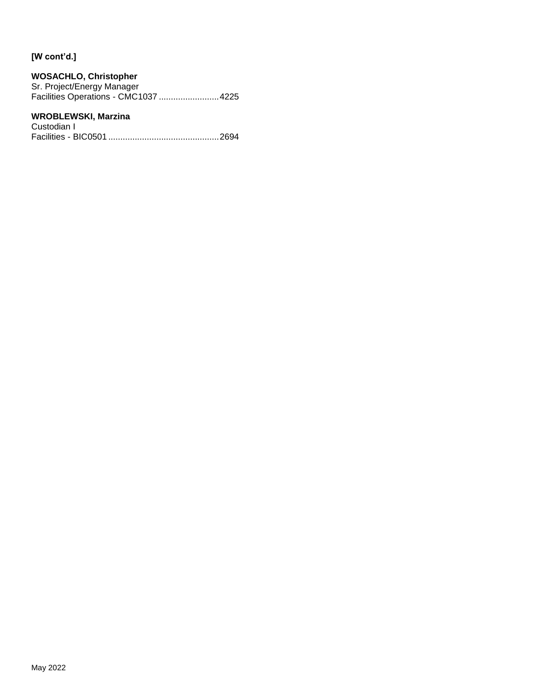## **WOSACHLO, Christopher**

Sr. Project/Energy Manager Facilities Operations - CMC1037 .........................4225

## **WROBLEWSKI, Marzina**

Custodian I Facilities - BIC0501 ..............................................2694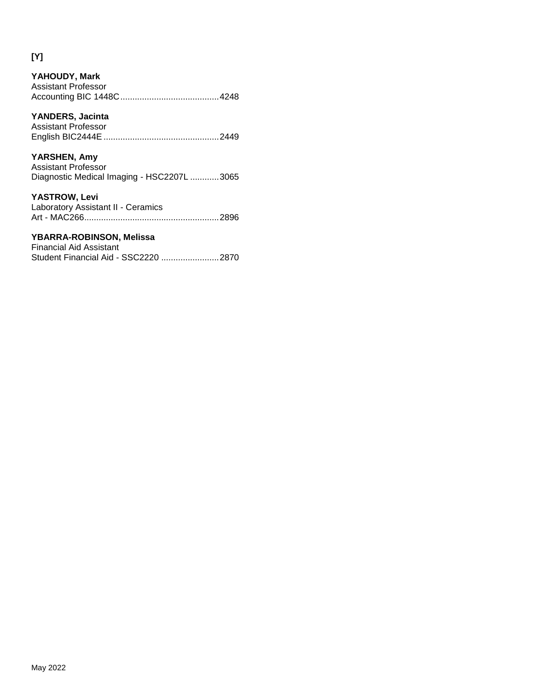# **[Y]**

| YAHOUDY, Mark<br>Assistant Professor                                              |      |
|-----------------------------------------------------------------------------------|------|
| YANDERS, Jacinta<br>Assistant Professor                                           | 2449 |
| YARSHEN, Amy<br>Assistant Professor<br>Diagnostic Medical Imaging - HSC2207L 3065 |      |
| YASTROW, Levi<br>Laboratory Assistant II - Ceramics                               | 2896 |

# **YBARRA-ROBINSON, Melissa**

| Financial Aid Assistant              |  |
|--------------------------------------|--|
| Student Financial Aid - SSC2220 2870 |  |